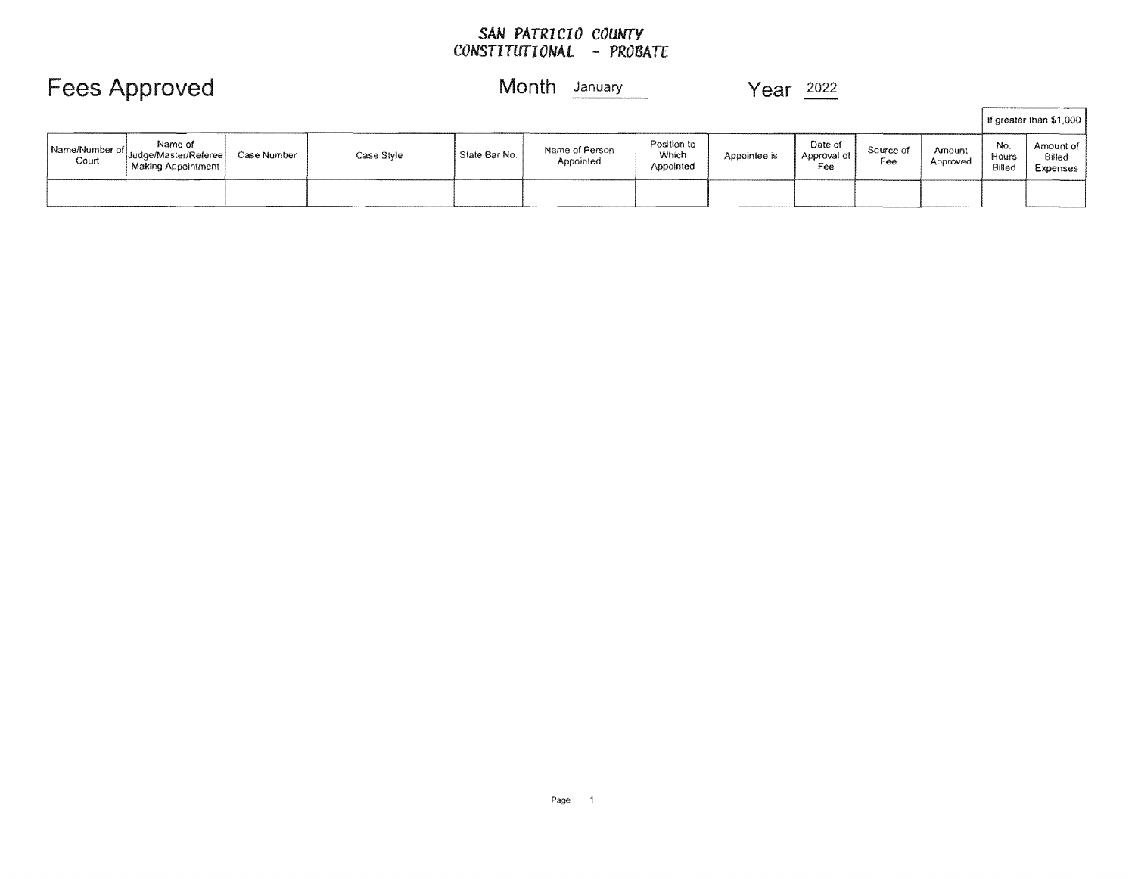### *SAN* **PA***TRI* **CI***0 COUMrV CONSTITUTIONAL* **-** *PROBATE*

## Fees Approved Month **January** Year 2022

|                           |                                                         |             |            |               |                             |                                   |              |                               |                  |                    |                        | If greater than \$1,000         |
|---------------------------|---------------------------------------------------------|-------------|------------|---------------|-----------------------------|-----------------------------------|--------------|-------------------------------|------------------|--------------------|------------------------|---------------------------------|
| Name/Number of  <br>Court | Name of<br>Judge/Master/Referee<br>  Making Appointment | Case Number | Case Style | State Bar No. | Name of Person<br>Appointed | Position to<br>Which<br>Appointed | Appointee is | Date of<br>Approval of<br>Fee | Source of<br>Fee | Amount<br>Approved | No.<br>Hours<br>Billed | Amount of<br>Billed<br>Expenses |
|                           |                                                         |             |            |               |                             |                                   |              |                               |                  |                    |                        |                                 |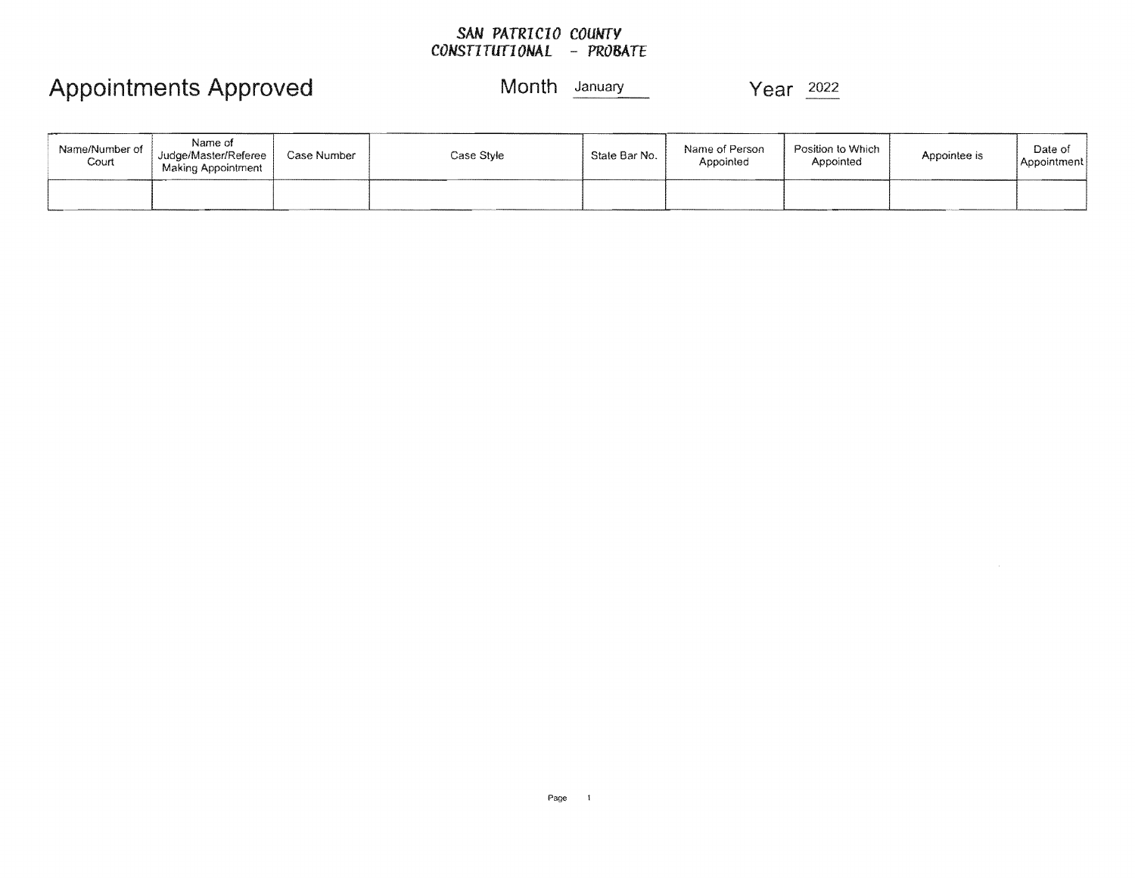### *SAN PATRICIO COUNTY CONSTITUTIONAL* **-** *PROBATE*

## Appointments Approved Month January

Year 2022

| Name/Number of<br>Court | Name of<br>Judge/Master/Referee<br>Making Appointment | Case Number | Case Style | State Bar No. | Name of Person<br>Appointed | Position to Which<br>Appointed | Appointee is | Date of<br>Appointment |
|-------------------------|-------------------------------------------------------|-------------|------------|---------------|-----------------------------|--------------------------------|--------------|------------------------|
|                         |                                                       |             |            |               |                             |                                |              |                        |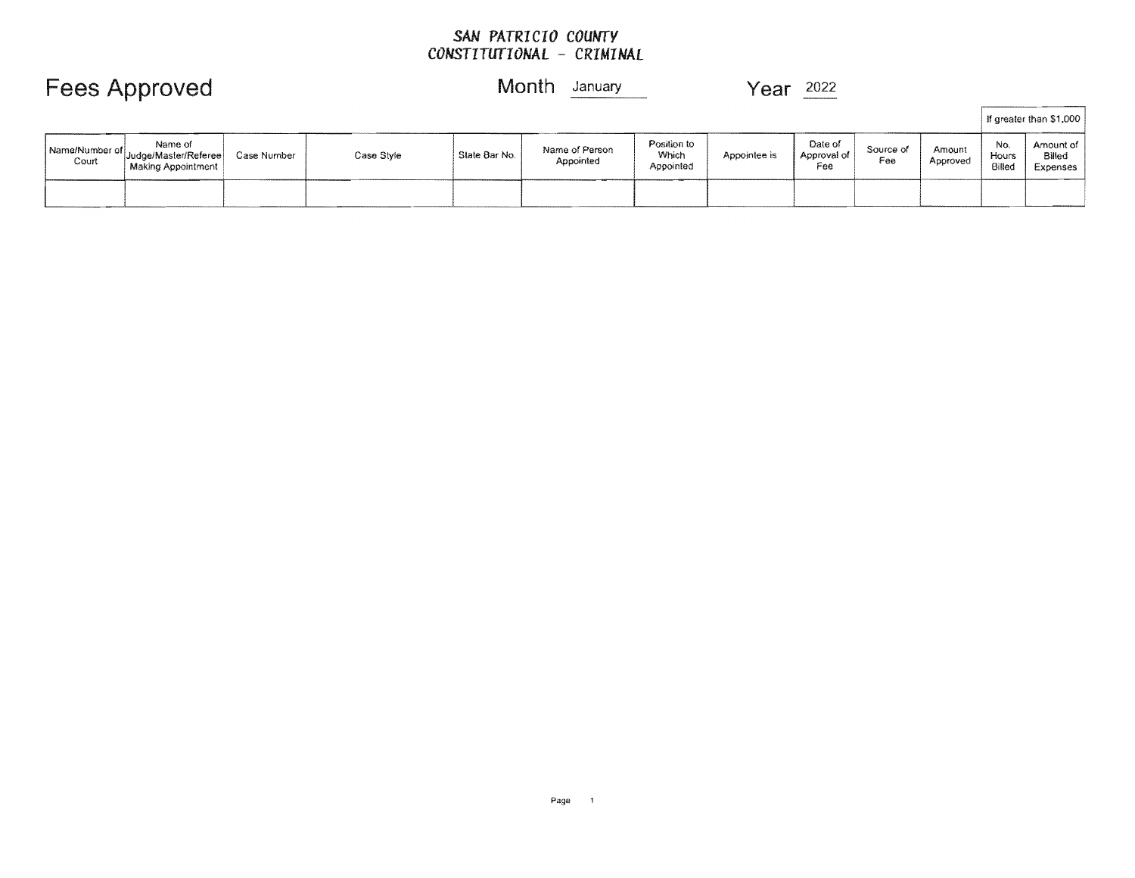### *SAN PATRICIO COUNTY CONSTITUTIONAL* **-** *CRIMINAL*

|                         |                                                       |             |            |               |                             |                                   |              |                               |                  |                    |                        | If greater than \$1,000         |
|-------------------------|-------------------------------------------------------|-------------|------------|---------------|-----------------------------|-----------------------------------|--------------|-------------------------------|------------------|--------------------|------------------------|---------------------------------|
| Name/Number of<br>Court | Name of<br>Judge/Master/Referee<br>Making Appointment | Case Number | Case Style | State Bar No. | Name of Person<br>Appointed | Position to<br>Which<br>Appointed | Appointee is | Date of<br>Approval of<br>Fee | Source of<br>Fee | Amount<br>Approved | No.<br>Hours<br>Billed | Amount of<br>Billed<br>Expenses |
|                         |                                                       |             |            |               |                             |                                   |              |                               |                  |                    |                        |                                 |

## **Fees Approved Month** January **Year** <sup>2022</sup>

Page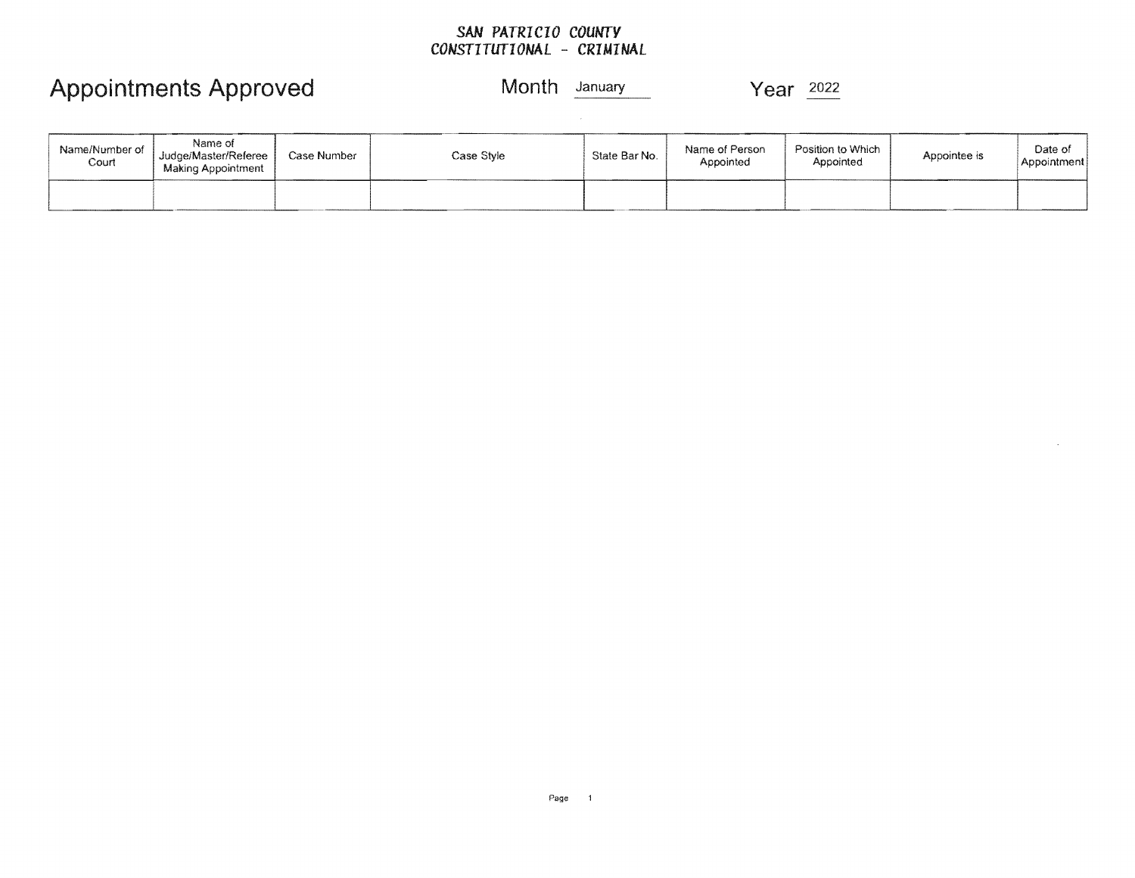### *SAN PATRICIO COUNTY CONSTITUTIONAL* **-** *CRIMINAL*

## Appointments Approved Month January Year 2022

 $\mathcal{L}$ 

| Name/Number of<br>Court | Name of<br>Judge/Master/Referee<br>Making Appointment | Case Number | Case Style | State Bar No. | Name of Person<br>Appointed | Position to Which<br>Appointed | Appointee is | Date of<br>Appointment |
|-------------------------|-------------------------------------------------------|-------------|------------|---------------|-----------------------------|--------------------------------|--------------|------------------------|
|                         |                                                       |             |            |               |                             |                                |              |                        |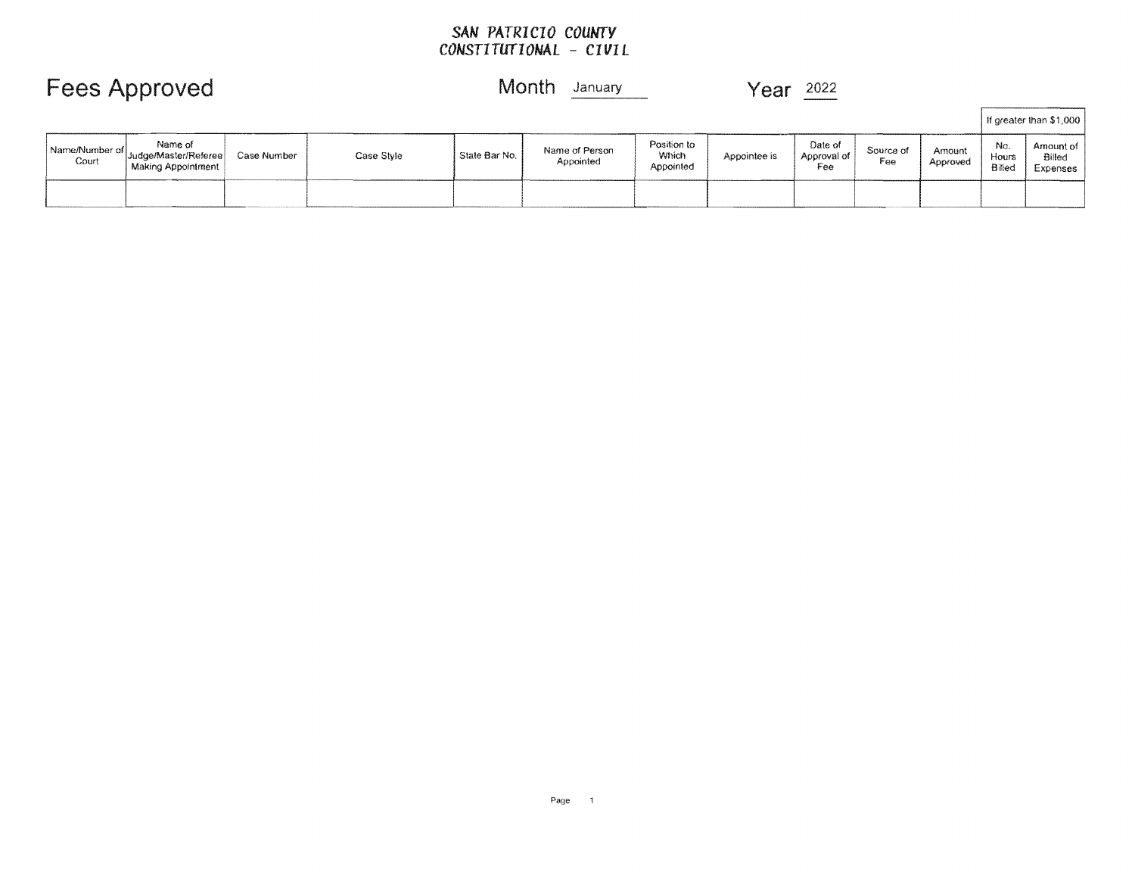# *SAN COUNTY CONSTITUTIONAL* **-** *CIVIL*

|                         |                                                         |             |            |               |                             |                                   |              |                               |                  |                    |                        | If greater than \$1,000         |
|-------------------------|---------------------------------------------------------|-------------|------------|---------------|-----------------------------|-----------------------------------|--------------|-------------------------------|------------------|--------------------|------------------------|---------------------------------|
| Name/Number of<br>Court | Name of<br>' Uudge/Master/Referee<br>Making Appointment | Case Number | Case Style | State Bar No. | Name of Person<br>Appointed | Position to<br>Which<br>Appointed | Appointee is | Date of<br>Approval of<br>Fee | Source of<br>Fee | Amount<br>Approved | No.<br>Hours<br>Billeo | Amount of<br>Billed<br>Expenses |
|                         |                                                         |             |            |               |                             |                                   |              |                               |                  |                    |                        |                                 |

## **Approved** Month January Month January Month Year 2022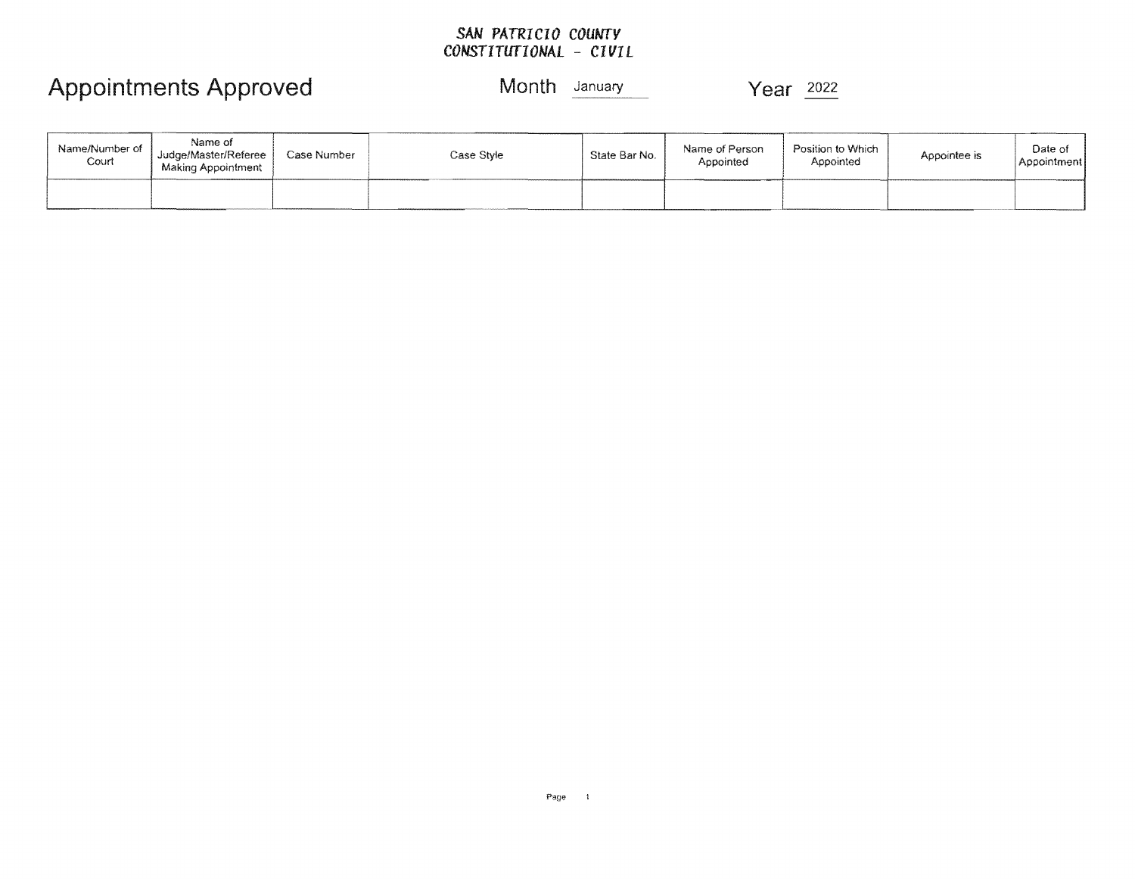### *SAN PATRICIO COUNTY*  **CONSTITUTIONAL - CIVIL**

| Name/Number of<br>Court | Name of<br>Judge/Master/Referee<br><b>Making Appointment</b> | Case Number | Case Stvle | State Bar No. | Name of Person<br>Appointed | Position to Which<br>Appointed | Appointee is | Date of<br>Appointment |
|-------------------------|--------------------------------------------------------------|-------------|------------|---------------|-----------------------------|--------------------------------|--------------|------------------------|
|                         |                                                              |             |            |               |                             |                                |              |                        |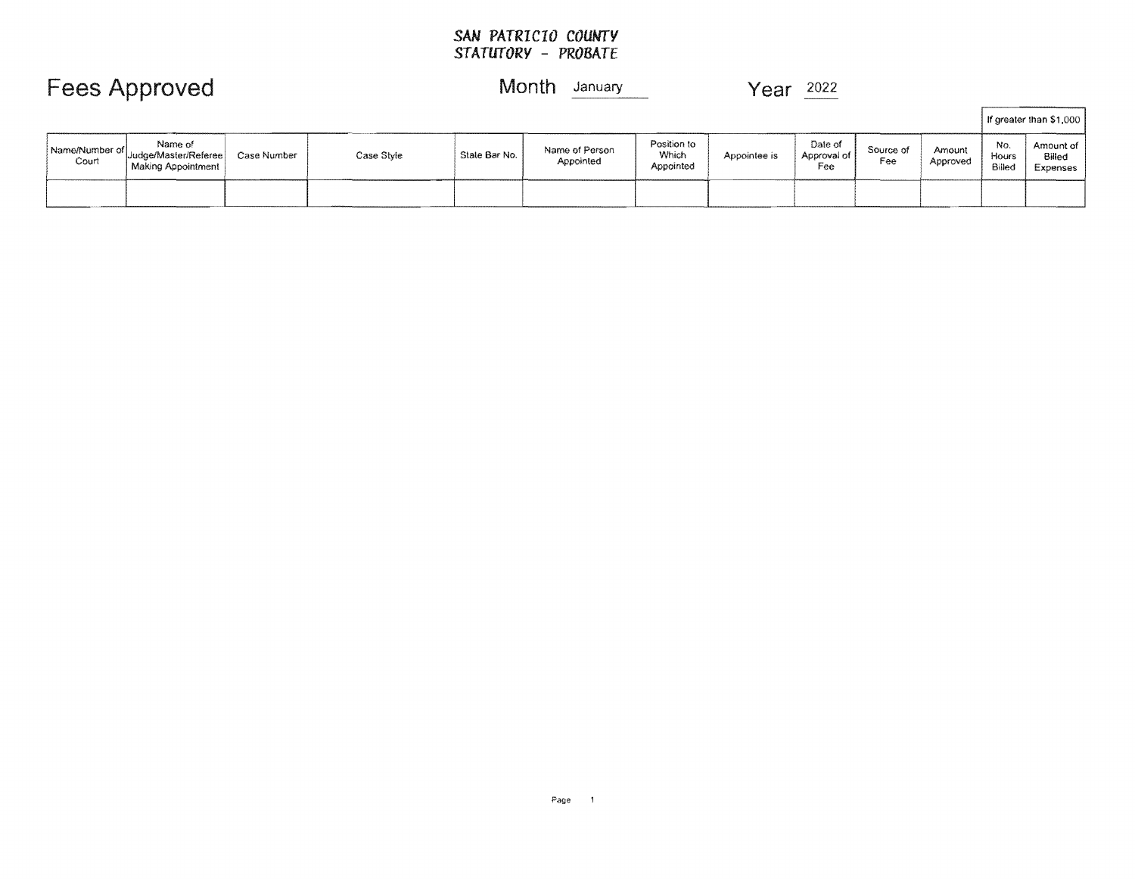### *SAN PATRICIO COUNTY STATUTORY* **-** *PROBATE*

|                         |                                                              |             |            |               |                             |                                   |              |                               |                  |                    |                        | f greater than \$1,000                 |
|-------------------------|--------------------------------------------------------------|-------------|------------|---------------|-----------------------------|-----------------------------------|--------------|-------------------------------|------------------|--------------------|------------------------|----------------------------------------|
| Name/Number of<br>Court | Name of<br>Judge/Master/Referee<br><b>Making Appointment</b> | Case Number | Case Style | State Bar No. | Name of Person<br>Appointed | Position to<br>Which<br>Appointed | Appointee is | Date of<br>Approval of<br>Fee | Source of<br>Fee | Amount<br>Approved | No.<br>Hours<br>Billed | Amount of<br>Billed<br><b>Expenses</b> |
|                         |                                                              |             |            |               |                             |                                   |              |                               |                  |                    |                        |                                        |

## Fees Approved Month January Year 2022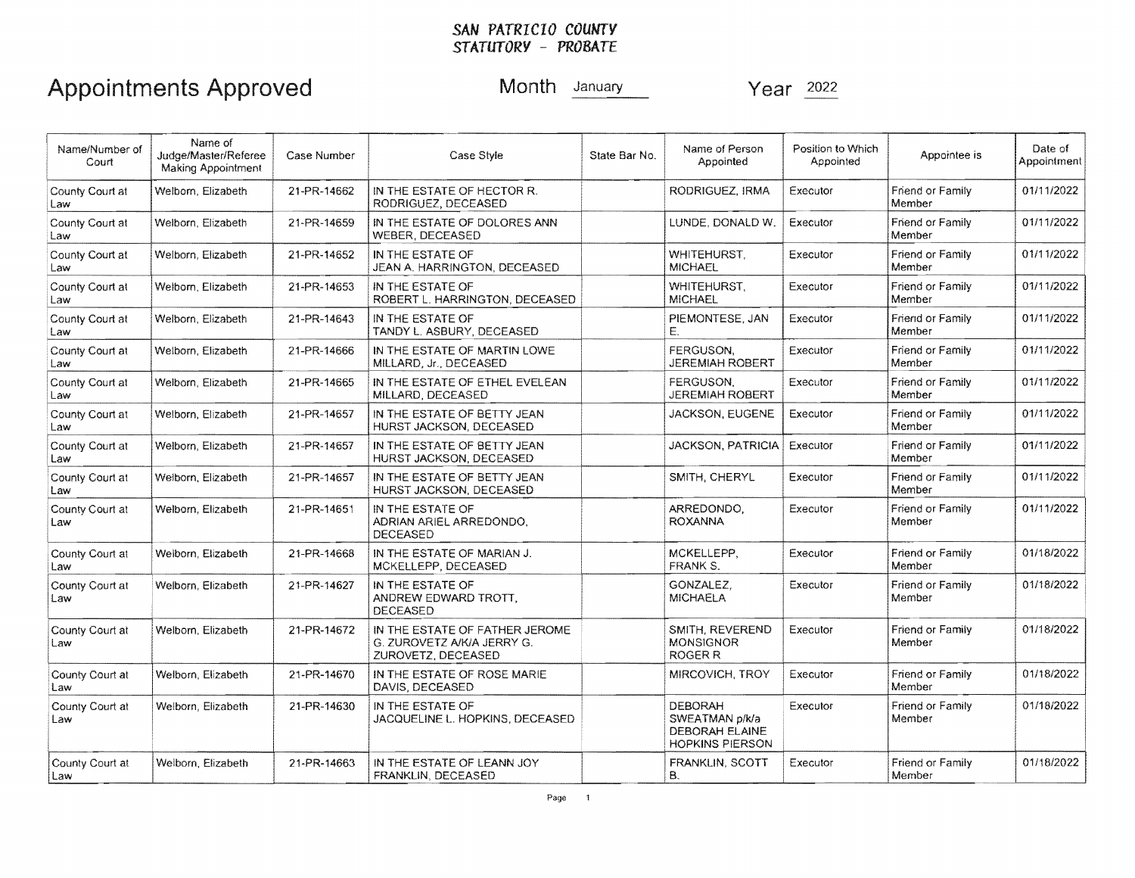### *SAN PATRICIO COUNTY STATUTORY* - *PROBATE*

| Name/Number of<br>Court | Name of<br>Judge/Master/Referee<br><b>Making Appointment</b> | Case Number | Case Style                                                                         | State Bar No. | Name of Person<br>Appointed                                                         | Position to Which<br>Appointed | Appointee is               | Date of<br>Appointment |
|-------------------------|--------------------------------------------------------------|-------------|------------------------------------------------------------------------------------|---------------|-------------------------------------------------------------------------------------|--------------------------------|----------------------------|------------------------|
| County Court at<br>Law  | Welborn, Elizabeth                                           | 21-PR-14662 | IN THE ESTATE OF HECTOR R.<br>RODRIGUEZ, DECEASED                                  |               | RODRIGUEZ, IRMA                                                                     | Executor                       | Friend or Family<br>Member | 01/11/2022             |
| County Court at<br>Law  | Welborn, Elizabeth                                           | 21-PR-14659 | IN THE ESTATE OF DOLORES ANN<br>WEBER, DECEASED                                    |               | LUNDE, DONALD W.                                                                    | Executor                       | Friend or Family<br>Member | 01/11/2022             |
| County Court at<br>Law  | Welborn, Elizabeth                                           | 21-PR-14652 | IN THE ESTATE OF<br>JEAN A. HARRINGTON, DECEASED                                   |               | WHITEHURST.<br><b>MICHAEL</b>                                                       | Executor                       | Friend or Family<br>Member | 01/11/2022             |
| County Court at<br>Law  | Welborn, Elizabeth                                           | 21-PR-14653 | IN THE ESTATE OF<br>ROBERT L. HARRINGTON, DECEASED                                 |               | WHITEHURST,<br><b>MICHAEL</b>                                                       | Executor                       | Friend or Family<br>Member | 01/11/2022             |
| County Court at<br>Law  | Welborn, Elizabeth                                           | 21-PR-14643 | IN THE ESTATE OF<br>TANDY L. ASBURY, DECEASED                                      |               | PIEMONTESE, JAN<br>Е.                                                               | Executor                       | Friend or Family<br>Member | 01/11/2022             |
| County Court at<br>Law  | Welborn, Elizabeth                                           | 21-PR-14666 | IN THE ESTATE OF MARTIN LOWE<br>MILLARD, Jr., DECEASED                             |               | FERGUSON,<br><b>JEREMIAH ROBERT</b>                                                 | Executor                       | Friend or Family<br>Member | 01/11/2022             |
| County Court at<br>Law  | Welborn, Elizabeth                                           | 21-PR-14665 | IN THE ESTATE OF ETHEL EVELEAN<br>MILLARD, DECEASED                                |               | FERGUSON.<br><b>JEREMIAH ROBERT</b>                                                 | Executor                       | Friend or Family<br>Member | 01/11/2022             |
| County Court at<br>Law  | Welborn, Elizabeth                                           | 21-PR-14657 | IN THE ESTATE OF BETTY JEAN.<br>HURST JACKSON, DECEASED                            |               | <b>JACKSON, EUGENE</b>                                                              | Executor                       | Friend or Family<br>Member | 01/11/2022             |
| County Court at<br>Law  | Welborn, Elizabeth                                           | 21-PR-14657 | IN THE ESTATE OF BETTY JEAN<br>HURST JACKSON, DECEASED                             |               | <b>JACKSON, PATRICIA</b>                                                            | Executor                       | Friend or Family<br>Member | 01/11/2022             |
| County Court at<br>Law  | Welborn, Elizabeth                                           | 21-PR-14657 | IN THE ESTATE OF BETTY JEAN<br>HURST JACKSON, DECEASED                             |               | SMITH, CHERYL                                                                       | Executor                       | Friend or Family<br>Member | 01/11/2022             |
| County Court at<br>Law  | Welborn, Elizabeth                                           | 21-PR-14651 | IN THE ESTATE OF<br>ADRIAN ARIEL ARREDONDO.<br><b>DECEASED</b>                     |               | ARREDONDO.<br><b>ROXANNA</b>                                                        | Executor                       | Friend or Family<br>Member | 01/11/2022             |
| County Court at<br>Law  | Welborn, Elizabeth                                           | 21-PR-14668 | IN THE ESTATE OF MARIAN J.<br>MCKELLEPP, DECEASED                                  |               | MCKELLEPP.<br>FRANK S.                                                              | Executor                       | Friend or Family<br>Member | 01/18/2022             |
| County Court at<br>Law  | Welborn, Elizabeth                                           | 21-PR-14627 | IN THE ESTATE OF<br>ANDREW EDWARD TROTT.<br><b>DECEASED</b>                        |               | GONZALEZ.<br><b>MICHAELA</b>                                                        | Executor                       | Friend or Family<br>Member | 01/18/2022             |
| County Court at<br>Law  | Welborn, Elizabeth                                           | 21-PR-14672 | IN THE ESTATE OF FATHER JEROME<br>G. ZUROVETZ A/K/A JERRY G.<br>ZUROVETZ, DECEASED |               | SMITH, REVEREND<br><b>MONSIGNOR</b><br>ROGER <sub>R</sub>                           | Executor                       | Friend or Family<br>Member | 01/18/2022             |
| County Court at<br>Law  | Welborn, Elizabeth                                           | 21-PR-14670 | IN THE ESTATE OF ROSE MARIE<br>DAVIS, DECEASED                                     |               | MIRCOVICH, TROY                                                                     | Executor                       | Friend or Family<br>Member | 01/18/2022             |
| County Court at<br>Law  | Welborn, Elizabeth                                           | 21-PR-14630 | IN THE ESTATE OF<br>JACQUELINE L. HOPKINS, DECEASED                                |               | <b>DEBORAH</b><br>SWEATMAN p/k/a<br><b>DEBORAH ELAINE</b><br><b>HOPKINS PIERSON</b> | Executor                       | Friend or Family<br>Member | 01/18/2022             |
| County Court at<br>Law  | Welborn, Elizabeth                                           | 21-PR-14663 | IN THE ESTATE OF LEANN JOY<br>FRANKLIN, DECEASED                                   |               | FRANKLIN, SCOTT<br>В.                                                               | Executor                       | Friend or Family<br>Member | 01/18/2022             |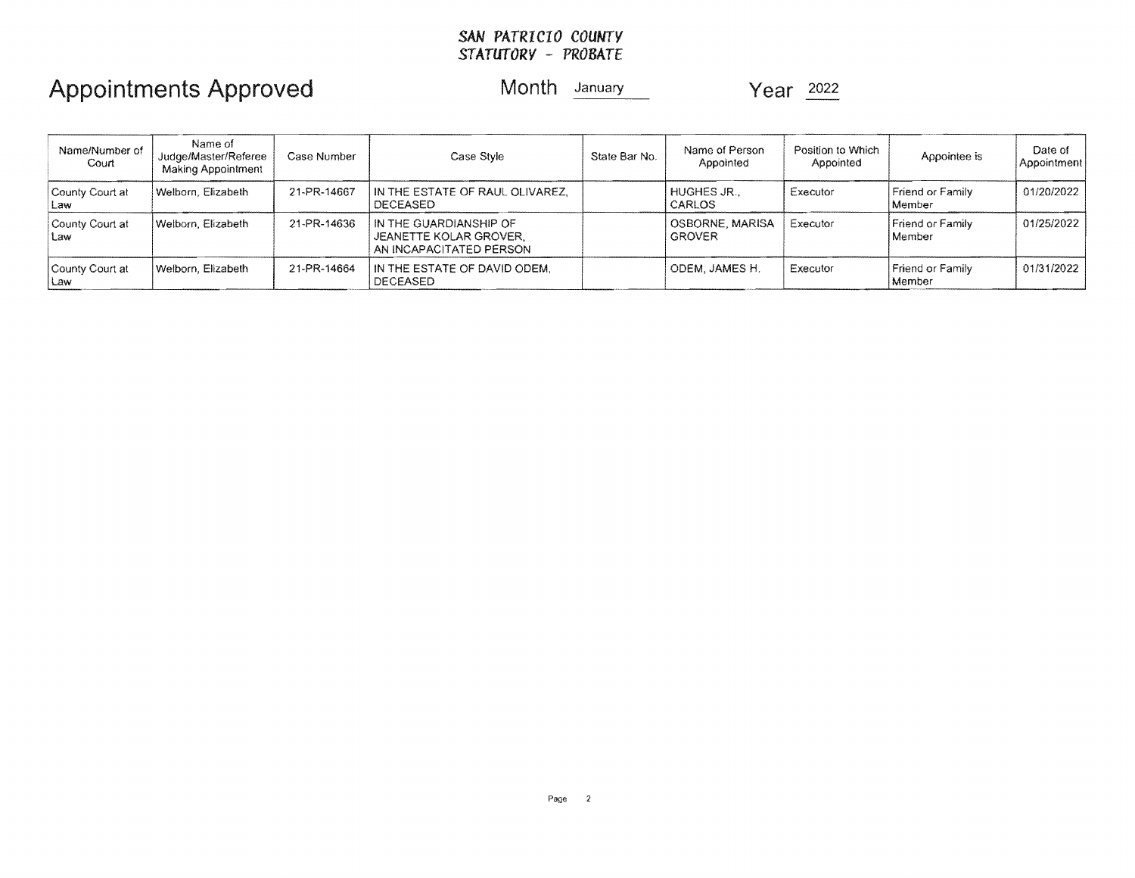### SAN *PATRICIO COUNTY STATUTORY* - *PROBATE*

| Name/Number of<br>Court  | Name of<br>Judge/Master/Referee<br>Making Appointment | Case Number | Case Style                                                                  | State Bar No. | Name of Person<br>Appointed      | Position to Which<br>Appointed | Appointee is                      | Date of<br>Appointment |
|--------------------------|-------------------------------------------------------|-------------|-----------------------------------------------------------------------------|---------------|----------------------------------|--------------------------------|-----------------------------------|------------------------|
| County Court at<br>Law   | Welborn, Elizabeth                                    | 21-PR-14667 | IN THE ESTATE OF RAUL OLIVAREZ,<br><b>DECEASED</b>                          |               | HUGHES JR.,<br><b>CARLOS</b>     | Executor                       | <b>Friend or Family</b><br>Member | 01/20/2022             |
| County Court at<br>Law   | Welborn, Elizabeth                                    | 21-PR-14636 | IN THE GUARDIANSHIP OF<br>JEANETTE KOLAR GROVER.<br>AN INCAPACITATED PERSON |               | OSBORNE, MARISA<br><b>GROVER</b> | Executor                       | Friend or Family<br>l Member      | 01/25/2022             |
| County Court at<br>l Law | Welborn, Elizabeth                                    | 21-PR-14664 | IN THE ESTATE OF DAVID ODEM.<br><b>DECEASED</b>                             |               | ODEM, JAMES H.                   | Executor                       | <b>Friend or Family</b><br>Member | 01/31/2022             |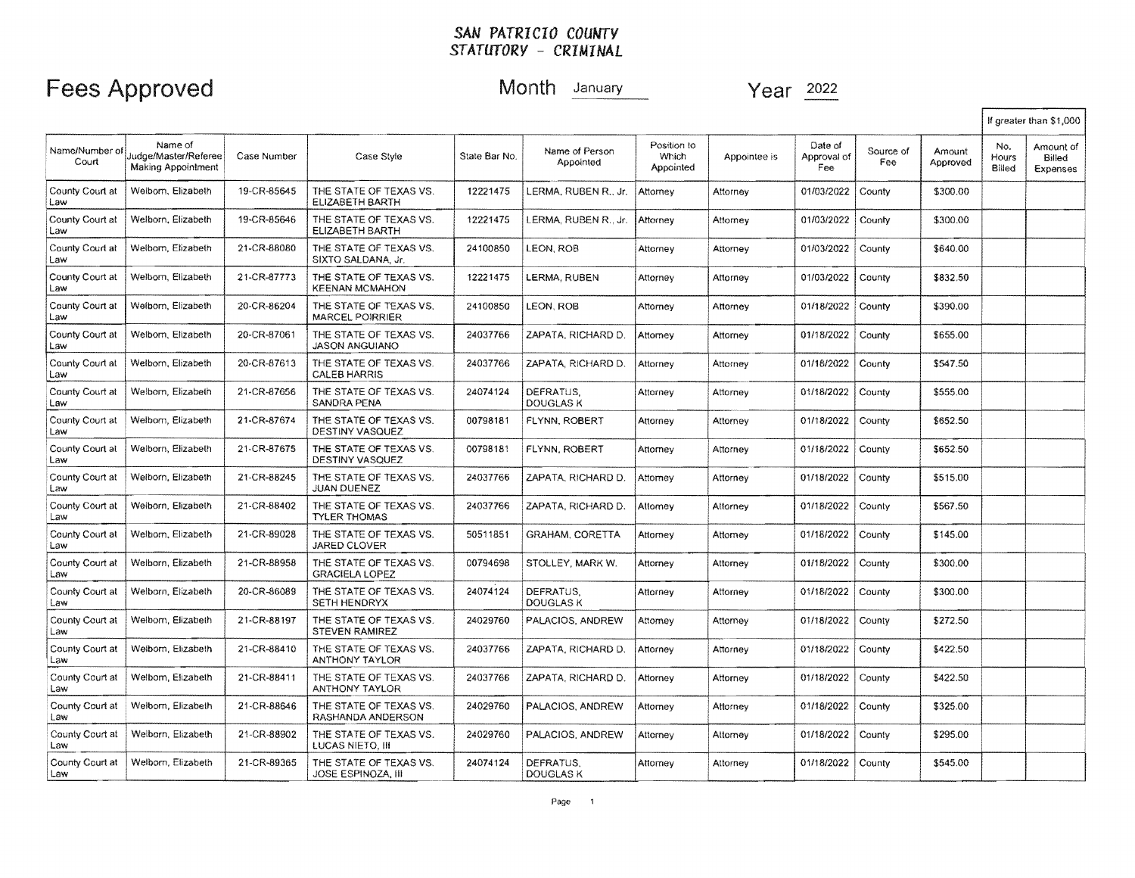## Fees Approved Month January Year 2022

|                         |                                                       |             |                                                     |               |                               |                                   |              |                               |                  |                    |                        | If greater than \$1,000         |
|-------------------------|-------------------------------------------------------|-------------|-----------------------------------------------------|---------------|-------------------------------|-----------------------------------|--------------|-------------------------------|------------------|--------------------|------------------------|---------------------------------|
| Name/Number of<br>Court | Name of<br>Judge/Master/Referee<br>Making Appointment | Case Number | Case Style                                          | State Bar No. | Name of Person<br>Appointed   | Position to<br>Which<br>Appointed | Appointee is | Date of<br>Approval of<br>Fee | Source of<br>Fee | Amount<br>Approved | No.<br>Hours<br>Billed | Amount of<br>Billed<br>Expenses |
| County Court at<br>Law  | Welborn, Elizabeth                                    | 19-CR-85645 | THE STATE OF TEXAS VS.<br>ELIZABETH BARTH           | 12221475      | LERMA, RUBEN R., Jr.          | Attorney                          | Attorney     | 01/03/2022                    | County           | \$300.00           |                        |                                 |
| County Court at<br>Law  | Welborn, Elizabeth                                    | 19-CR-85646 | THE STATE OF TEXAS VS.<br>ELIZABETH BARTH           | 12221475      | LERMA, RUBEN R., Jr.          | Attorney                          | Attorney     | 01/03/2022                    | County           | \$300.00           |                        |                                 |
| County Court at<br>Law  | Welborn, Elizabeth                                    | 21-CR-88080 | THE STATE OF TEXAS VS.<br>SIXTO SALDANA, Jr.        | 24100850      | LEON, ROB                     | Attorney                          | Attomey      | 01/03/2022                    | County           | \$640.00           |                        |                                 |
| County Court at<br>Law  | Welborn, Elizabeth                                    | 21-CR-87773 | THE STATE OF TEXAS VS.<br><b>KEENAN MCMAHON</b>     | 12221475      | LERMA, RUBEN                  | Attorney                          | Attomey      | 01/03/2022                    | County           | \$832.50           |                        |                                 |
| County Court at<br>Law  | Welborn, Elizabeth                                    | 20-CR-86204 | THE STATE OF TEXAS VS.<br>MARCEL POIRRIER           | 24100850      | LEON, ROB                     | Attorney                          | Attorney     | 01/18/2022                    | County           | \$390.00           |                        |                                 |
| County Court at<br>Law  | Welborn, Elizabeth                                    | 20-CR-87061 | THE STATE OF TEXAS VS.<br><b>JASON ANGUIANO</b>     | 24037766      | ZAPATA, RICHARD D.            | Attorney                          | Attorney     | 01/18/2022                    | County           | \$655.00           |                        |                                 |
| County Court at<br>Law  | Welborn, Elizabeth                                    | 20-CR-87613 | THE STATE OF TEXAS VS.<br><b>CALEB HARRIS</b>       | 24037766      | ZAPATA, RICHARD D.            | Attorney                          | Attorney     | 01/18/2022                    | County           | \$547.50           |                        |                                 |
| County Court at<br>Law  | Welborn, Elizabeth                                    | 21-CR-87656 | THE STATE OF TEXAS VS.<br>SANDRA PENA               | 24074124      | DEFRATUS.<br>DOUGLAS K        | Attorney                          | Attorney     | 01/18/2022                    | County           | \$555.00           |                        |                                 |
| County Court at<br>Law  | Welborn, Elizabeth                                    | 21-CR-87674 | THE STATE OF TEXAS VS.<br>DESTINY VASQUEZ           | 00798181      | FLYNN, ROBERT                 | Attorney                          | Attorney     | 01/18/2022                    | County           | \$652.50           |                        |                                 |
| County Court at<br>Law  | Welborn, Elizabeth                                    | 21-CR-87675 | THE STATE OF TEXAS VS.<br>DESTINY VASQUEZ           | 00798181      | FLYNN, ROBERT                 | Attornev                          | Attorney     | 01/18/2022                    | County           | \$652.50           |                        |                                 |
| County Court at<br>Law  | Welborn, Elizabeth                                    | 21-CR-88245 | THE STATE OF TEXAS VS.<br><b>JUAN DUENEZ</b>        | 24037766      | ZAPATA, RICHARD D.            | Attorney                          | Attorney     | 01/18/2022                    | County           | \$515.00           |                        |                                 |
| County Court at<br>Law  | Welborn, Elizabeth                                    | 21-CR-88402 | THE STATE OF TEXAS VS.<br><b>TYLER THOMAS</b>       | 24037766      | ZAPATA, RICHARD D.            | Attomev                           | Attorney     | 01/18/2022                    | County           | \$567.50           |                        |                                 |
| County Court at<br>Law  | Welborn, Elizabeth                                    | 21-CR-89028 | THE STATE OF TEXAS VS.<br>JARED CLOVER              | 50511851      | <b>GRAHAM, CORETTA</b>        | Attorney                          | Attomey      | 01/18/2022                    | County           | \$145.00           |                        |                                 |
| County Court at<br>Law  | Welborn, Elizabeth                                    | 21-CR-88958 | THE STATE OF TEXAS VS.<br><b>GRACIELA LOPEZ</b>     | 00794698      | STOLLEY, MARK W.              | Attorney                          | Attorney     | 01/18/2022                    | County           | \$300.00           |                        |                                 |
| County Court at<br>Law  | Welborn, Elizabeth                                    | 20-CR-86089 | THE STATE OF TEXAS VS.<br><b>SETH HENDRYX</b>       | 24074124      | DEFRATUS.<br><b>DOUGLAS K</b> | Attorney                          | Attorney     | 01/18/2022                    | County           | \$300,00           |                        |                                 |
| County Court at<br>Law  | Welborn, Elizabeth                                    | 21-CR-88197 | THE STATE OF TEXAS VS.<br><b>STEVEN RAMIREZ</b>     | 24029760      | PALACIOS, ANDREW              | Attorney                          | Attomey      | 01/18/2022                    | County           | \$272.50           |                        |                                 |
| County Court at<br>Law  | Welborn, Elizabeth                                    | 21-CR-88410 | THE STATE OF TEXAS VS.<br>ANTHONY TAYLOR            | 24037766      | ZAPATA, RICHARD D.            | Attorney                          | Attorney     | 01/18/2022                    | County           | \$422.50           |                        |                                 |
| County Court at<br>Law  | Welborn, Elizabeth                                    | 21-CR-88411 | THE STATE OF TEXAS VS.<br>ANTHONY TAYLOR            | 24037766      | ZAPATA, RICHARD D.            | Attorney                          | Attorney     | 01/18/2022                    | County           | \$422.50           |                        |                                 |
| County Court at<br>Law  | Welborn, Elizabeth                                    | 21-CR-88646 | THE STATE OF TEXAS VS.<br>RASHANDA ANDERSON         | 24029760      | PALACIOS, ANDREW              | Attorney                          | Attorney     | 01/18/2022                    | County           | \$325.00           |                        |                                 |
| County Court at<br>Law  | Welborn, Elizabeth                                    | 21-CR-88902 | THE STATE OF TEXAS VS.<br>LUCAS NIETO. III          | 24029760      | PALACIOS, ANDREW              | Attorney                          | Attorney     | 01/18/2022                    | County           | \$295.00           |                        |                                 |
| County Court at<br>Law  | Welborn, Elizabeth                                    | 21-CR-89365 | THE STATE OF TEXAS VS.<br><b>JOSE ESPINOZA, III</b> | 24074124      | DEFRATUS.<br>DOUGLAS K        | Attorney                          | Attorney     | 01/18/2022                    | County           | \$545.00           |                        |                                 |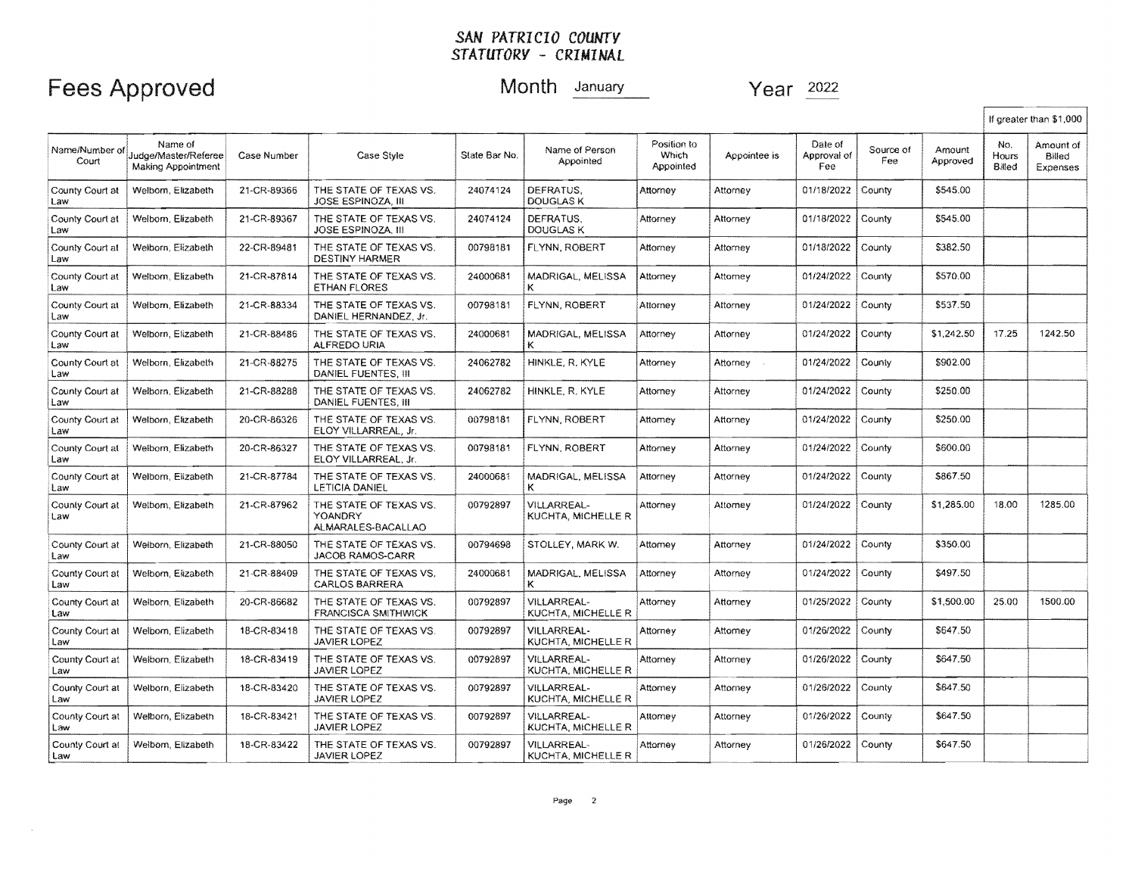## Fees Approved Month January Year 2022

I

|                         |                                                              |             |                                                         |               |                                          |                                   |              |                               |                  |                    |                        | If greater than \$1,000         |
|-------------------------|--------------------------------------------------------------|-------------|---------------------------------------------------------|---------------|------------------------------------------|-----------------------------------|--------------|-------------------------------|------------------|--------------------|------------------------|---------------------------------|
| Name/Number of<br>Court | Name of<br>Judge/Master/Referee<br><b>Making Appointment</b> | Case Number | Case Style                                              | State Bar No. | Name of Person<br>Appointed              | Position to<br>Which<br>Appointed | Appointee is | Date of<br>Approval of<br>Fee | Source of<br>Fee | Amount<br>Approved | No.<br>Hours<br>Billed | Amount of<br>Billed<br>Expenses |
| County Court at<br>Law  | Welborn, Elizabeth                                           | 21-CR-89366 | THE STATE OF TEXAS VS.<br><b>JOSE ESPINOZA, III</b>     | 24074124      | DEFRATUS,<br><b>DOUGLAS K</b>            | Attorney                          | Attorney     | 01/18/2022                    | County           | \$545.00           |                        |                                 |
| County Court at<br>Law  | Welborn, Elizabeth                                           | 21-CR-89367 | THE STATE OF TEXAS VS.<br><b>JOSE ESPINOZA, III</b>     | 24074124      | DEFRATUS.<br>DOUGLAS K                   | Attorney                          | Attorney     | 01/18/2022                    | County           | \$545.00           |                        |                                 |
| County Court at<br>Law  | Weiborn, Elizabeth                                           | 22-CR-89481 | THE STATE OF TEXAS VS.<br><b>DESTINY HARMER</b>         | 00798181      | FLYNN, ROBERT                            | Attorney                          | Attorney     | 01/18/2022                    | County           | \$382.50           |                        |                                 |
| County Court at<br>Law  | Welbom, Elizabeth                                            | 21-CR-87814 | THE STATE OF TEXAS VS.<br><b>ETHAN FLORES</b>           | 24000681      | MADRIGAL, MELISSA<br>ĸ                   | Attorney                          | Attorney     | 01/24/2022                    | County           | \$570.00           |                        |                                 |
| County Court at<br>Law  | Welborn, Elizabeth                                           | 21-CR-88334 | THE STATE OF TEXAS VS.<br>DANIEL HERNANDEZ, Jr.         | 00798181      | FLYNN, ROBERT                            | Attorney                          | Attorney     | 01/24/2022                    | County           | \$537.50           |                        |                                 |
| County Court at<br>Law  | Welborn, Elizabeth                                           | 21-CR-88486 | THE STATE OF TEXAS VS.<br><b>ALFREDO URIA</b>           | 24000681      | MADRIGAL, MELISSA<br>ĸ                   | Attorney                          | Attorney     | 01/24/2022                    | County           | \$1,242.50         | 17.25                  | 1242.50                         |
| County Court at<br>Law  | Welborn, Elizabeth                                           | 21-CR-88275 | THE STATE OF TEXAS VS.<br>DANIEL FUENTES. III           | 24062782      | HINKLE, R. KYLE                          | Attorney                          | Attorney .   | 01/24/2022                    | County           | \$902.00           |                        |                                 |
| County Court at<br>Law  | Welborn, Elizabeth                                           | 21-CR-88288 | THE STATE OF TEXAS VS.<br>DANIEL FUENTES, III           | 24062782      | HINKLE, R. KYLE                          | Attomey                           | Attorney     | 01/24/2022                    | County           | \$250.00           |                        |                                 |
| County Court at<br>Law  | Welborn, Elizabeth                                           | 20-CR-86326 | THE STATE OF TEXAS VS.<br>ELOY VILLARREAL, Jr.          | 00798181      | FLYNN, ROBERT                            | Attorney                          | Attorney     | 01/24/2022                    | County           | \$250.00           |                        |                                 |
| County Court at<br>Law  | Welborn, Elizabeth                                           | 20-CR-86327 | THE STATE OF TEXAS VS.<br>ELOY VILLARREAL, Jr.          | 00798181      | FLYNN, ROBERT                            | Attorney                          | Attorney     | 01/24/2022                    | County           | \$600.00           |                        |                                 |
| County Court at<br>Law  | Welborn, Elizabeth                                           | 21-CR-87784 | THE STATE OF TEXAS VS.<br>LETICIA DANIEL                | 24000681      | MADRIGAL, MELISSA                        | Attorney                          | Attorney     | 01/24/2022                    | County           | \$867.50           |                        |                                 |
| County Court at<br>Law  | Welbom, Elizabeth                                            | 21-CR-87962 | THE STATE OF TEXAS VS.<br>YOANDRY<br>ALMARALES-BACALLAO | 00792897      | VILLARREAL-<br>KUCHTA, MICHELLE R        | Attorney                          | Attorney     | 01/24/2022                    | County           | \$1,285.00         | 18.00                  | 1285.00                         |
| County Court at<br>Law  | Welborn, Elizabeth                                           | 21-CR-88050 | THE STATE OF TEXAS VS.<br>JACOB RAMOS-CARR              | 00794698      | STOLLEY, MARK W.                         | Attomey                           | Attorney     | 01/24/2022                    | County           | \$350.00           |                        |                                 |
| County Court at<br>Law  | Welborn, Elizabeth                                           | 21-CR-88409 | THE STATE OF TEXAS VS.<br><b>CARLOS BARRERA</b>         | 24000681      | MADRIGAL, MELISSA<br>к                   | Attorney                          | Attorney     | 01/24/2022                    | County           | \$497.50           |                        |                                 |
| County Court at<br>Law  | Welborn, Elizabeth                                           | 20-CR-86682 | THE STATE OF TEXAS VS.<br><b>FRANCISCA SMITHWICK</b>    | 00792897      | VILLARREAL-<br>KUCHTA, MICHELLE R        | Attorney                          | Attorney     | 01/25/2022                    | County           | \$1,500.00         | 25.00                  | 1500.00                         |
| County Court at<br>Law  | Welborn, Elizabeth                                           | 18-CR-83418 | THE STATE OF TEXAS VS.<br><b>JAVIER LOPEZ</b>           | 00792897      | VILLARREAL-<br>KUCHTA, MICHELLE R        | Attorney                          | Attorney     | 01/26/2022                    | County           | \$647.50           |                        |                                 |
| County Court at<br>Law  | Welborn, Elizabeth                                           | 18-CR-83419 | THE STATE OF TEXAS VS.<br>JAVIER LOPEZ                  | 00792897      | VILLARREAL-<br>KUCHTA, MICHELLE R        | Attorney                          | Attorney     | 01/26/2022                    | County           | \$647.50           |                        |                                 |
| County Court at<br>Law  | Welborn, Elizabeth                                           | 18-CR-83420 | THE STATE OF TEXAS VS.<br>JAVIER LOPEZ                  | 00792897      | <b>VILLARREAL-</b><br>KUCHTA, MICHELLE R | Attorney                          | Attorney     | 01/26/2022                    | County           | \$647.50           |                        |                                 |
| County Court at<br>Law  | Welborn, Elizabeth                                           | 18-CR-83421 | THE STATE OF TEXAS VS.<br>JAVIER LOPEZ                  | 00792897      | VILLARREAL-<br>KUCHTA, MICHELLE R        | Attomey                           | Attorney     | 01/26/2022                    | County           | \$647.50           |                        |                                 |
| County Court at<br>Law  | Welborn, Elizabeth                                           | 18-CR-83422 | THE STATE OF TEXAS VS.<br><b>JAVIER LOPEZ</b>           | 00792897      | <b>VILLARREAL-</b><br>KUCHTA, MICHELLE R | Attorney                          | Attorney     | 01/26/2022                    | County           | \$647.50           |                        |                                 |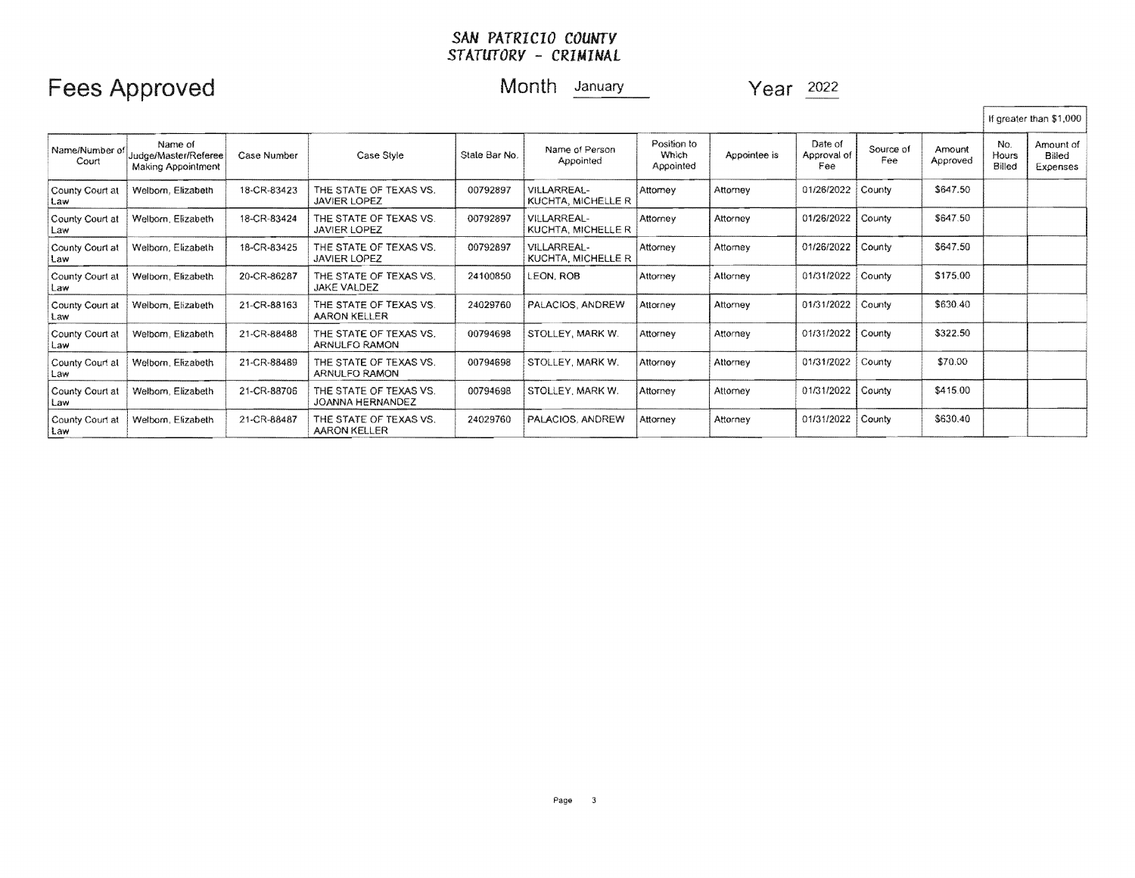## Fees Approved Month January Year 2022

If greater than \$1,000

| Name/Number of<br>Court | Name of<br>Judge/Master/Referee<br>Making Appointment | Case Number | Case Style                                    | Stale Bar No. | Name of Person<br>Appointed              | Position to<br>Which<br>Appointed | Appointee is | Date of<br>Approval of<br>Fee | Source of<br>Fee | Amount<br>Approved | No.<br>Hours<br>Billed | Amount of<br>Billed<br>Expenses |
|-------------------------|-------------------------------------------------------|-------------|-----------------------------------------------|---------------|------------------------------------------|-----------------------------------|--------------|-------------------------------|------------------|--------------------|------------------------|---------------------------------|
| County Court at<br>Law  | Welborn, Elizabeth                                    | 18-CR-83423 | THE STATE OF TEXAS VS.<br>JAVIER LOPEZ        | 00792897      | VILLARREAL-<br>KUCHTA, MICHELLE R        | Attorney                          | Attorney     | 01/26/2022                    | County           | \$647.50           |                        |                                 |
| County Court at<br>Law  | Welborn, Elizabeth                                    | 18-CR-83424 | THE STATE OF TEXAS VS.<br><b>JAVIER LOPEZ</b> | 00792897      | <b>VILLARREAL-</b><br>KUCHTA, MICHELLE R | Attorney                          | Attorney     | 01/26/2022                    | County           | \$647.50           |                        |                                 |
| County Court at<br>Law  | Welborn, Elizabeth                                    | 18-CR-83425 | THE STATE OF TEXAS VS.<br><b>JAVIER LOPEZ</b> | 00792897      | VILLARREAL-<br>KUCHTA, MICHELLE R        | Attorney                          | Attorney     | 01/26/2022                    | County           | \$647.50           |                        |                                 |
| County Court at<br>Law  | Welborn, Elizabeth                                    | 20-CR-86287 | THE STATE OF TEXAS VS.<br><b>JAKE VALDEZ</b>  | 24100850      | LEON, ROB                                | Attorney                          | Attorney     | 01/31/2022                    | County           | \$175.00           |                        |                                 |
| County Court at<br>Law  | Welborn, Elizabeth                                    | 21-CR-88163 | THE STATE OF TEXAS VS.<br>AARON KELLER        | 24029760      | PALACIOS, ANDREW                         | Attorney                          | Attorney     | 01/31/2022                    | County           | \$630.40           |                        |                                 |
| County Court at<br>Law  | Welborn, Elizabeth                                    | 21-CR-88488 | THE STATE OF TEXAS VS.<br>ARNULFO RAMON       | 00794698      | STOLLEY, MARK W.                         | Attorney                          | Attorney     | 01/31/2022                    | County           | \$322.50           |                        |                                 |
| County Court at<br>Law  | Welborn, Elizabeth                                    | 21-CR-88489 | THE STATE OF TEXAS VS.<br>ARNULFO RAMON       | 00794698      | STOLLEY, MARK W.                         | Attorney                          | Attorney     | 01/31/2022                    | County           | \$70.00            |                        |                                 |
| County Court at<br>Law  | Welborn, Elizabeth                                    | 21-CR-88706 | THE STATE OF TEXAS VS.<br>JOANNA HERNANDEZ    | 00794698      | STOLLEY, MARK W.                         | Attorney                          | Attorney     | 01/31/2022                    | County           | \$415.00           |                        |                                 |
| County Court at<br>Law  | Welborn, Elizabeth                                    | 21-CR-88487 | THE STATE OF TEXAS VS.<br><b>AARON KELLER</b> | 24029760      | PALACIOS, ANDREW                         | Attorney                          | Attorney     | 01/31/2022                    | County           | \$630.40           |                        |                                 |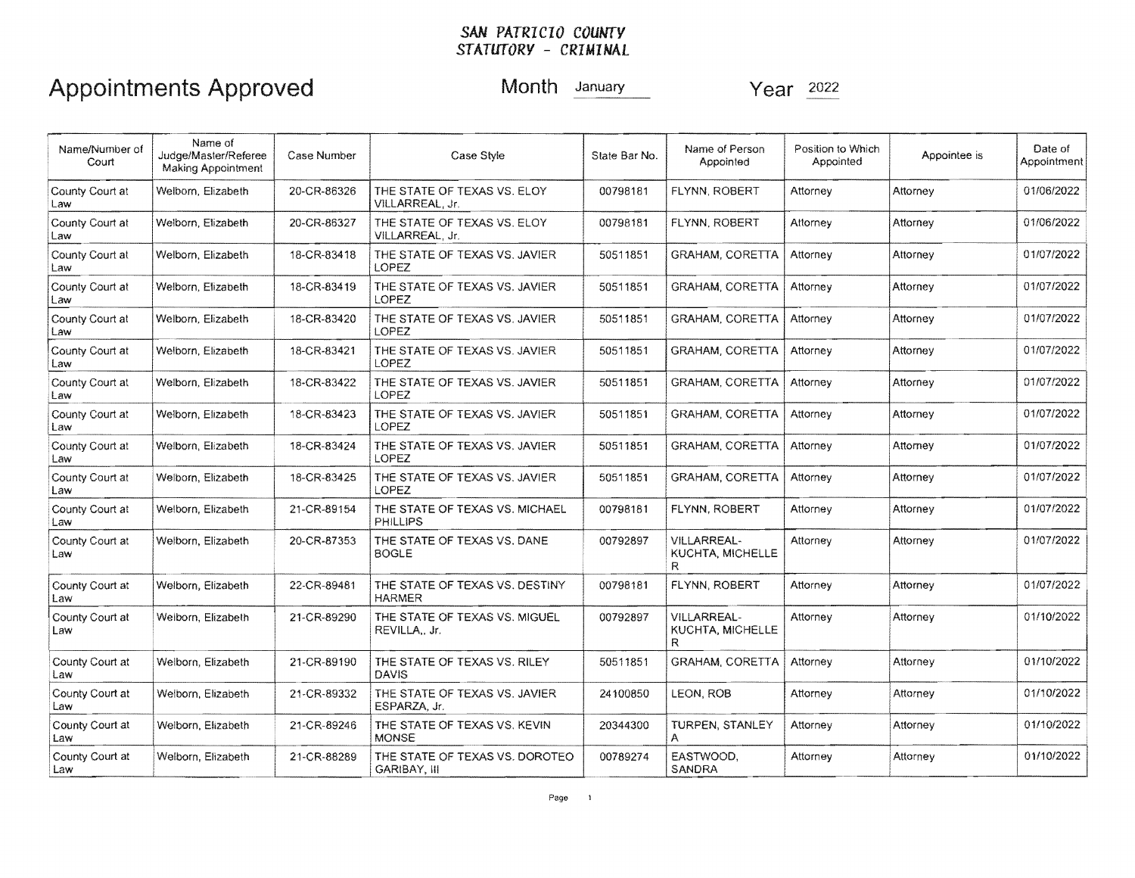| Name/Number of<br>Court | Name of<br>Judge/Master/Referee<br><b>Making Appointment</b> | Case Number | Name of Person<br>Position to Which<br>Case Style<br>State Bar No.<br>Appointee is<br>Appointed<br>Appointed |                                                   | Date of<br>Appointment                             |          |            |            |
|-------------------------|--------------------------------------------------------------|-------------|--------------------------------------------------------------------------------------------------------------|---------------------------------------------------|----------------------------------------------------|----------|------------|------------|
| County Court at<br>Law  | Welborn, Elizabeth                                           | 20-CR-86326 | THE STATE OF TEXAS VS. ELOY<br>VILLARREAL, Jr.                                                               | 00798181<br>FLYNN, ROBERT<br>Attorney<br>Attorney |                                                    |          | 01/06/2022 |            |
| County Court at<br>Law  | Welborn, Elizabeth                                           | 20-CR-86327 | THE STATE OF TEXAS VS. ELOY<br>VILLARREAL, Jr.                                                               | FLYNN, ROBERT<br>00798181                         |                                                    | Attorney | Attorney   | 01/06/2022 |
| County Court at<br>Law  | Welborn, Elizabeth                                           | 18-CR-83418 | THE STATE OF TEXAS VS. JAVIER<br><b>LOPEZ</b>                                                                | 50511851                                          | GRAHAM, CORETTA                                    | Attorney | Attorney   | 01/07/2022 |
| County Court at<br>Law  | Welborn, Elizabeth                                           | 18-CR-83419 | THE STATE OF TEXAS VS. JAVIER<br>LOPEZ                                                                       | 50511851                                          | <b>GRAHAM, CORETTA</b>                             | Attorney | Attorney   | 01/07/2022 |
| County Court at<br>Law  | Welborn, Elizabeth                                           | 18-CR-83420 | THE STATE OF TEXAS VS. JAVIER<br>LOPEZ                                                                       | 50511851                                          | <b>GRAHAM, CORETTA</b>                             | Attorney | Attorney   | 01/07/2022 |
| County Court at<br>Law  | Welborn, Elizabeth                                           | 18-CR-83421 | THE STATE OF TEXAS VS. JAVIER<br>LOPEZ                                                                       | 50511851                                          | <b>GRAHAM, CORETTA</b>                             | Attorney | Attorney   | 01/07/2022 |
| County Court at<br>Law  | Welborn, Elizabeth                                           | 18-CR-83422 | THE STATE OF TEXAS VS. JAVIER<br>LOPEZ                                                                       | 50511851                                          | <b>GRAHAM, CORETTA</b>                             | Attorney | Attorney   | 01/07/2022 |
| County Court at<br>Law  | Welborn, Elizabeth                                           | 18-CR-83423 | THE STATE OF TEXAS VS. JAVIER<br>LOPEZ                                                                       | 50511851                                          | <b>GRAHAM, CORETTA</b>                             | Attornev | Attorney   | 01/07/2022 |
| County Court at<br>Law  | Welborn, Elizabeth                                           | 18-CR-83424 | THE STATE OF TEXAS VS. JAVIER<br>LOPEZ                                                                       | 50511851                                          | <b>GRAHAM, CORETTA</b>                             | Attorney | Attorney   | 01/07/2022 |
| County Court at<br>Law  | Welborn, Elizabeth                                           | 18-CR-83425 | THE STATE OF TEXAS VS. JAVIER<br>LOPEZ                                                                       | 50511851                                          | <b>GRAHAM, CORETTA</b>                             | Attorney | Attorney   | 01/07/2022 |
| County Court at<br>Law  | Welborn, Elizabeth                                           | 21-CR-89154 | THE STATE OF TEXAS VS. MICHAEL<br><b>PHILLIPS</b>                                                            | 00798181                                          | FLYNN, ROBERT                                      | Attorney | Attorney   | 01/07/2022 |
| County Court at<br>Law  | Welborn, Elizabeth                                           | 20-CR-87353 | THE STATE OF TEXAS VS. DANE<br><b>BOGLE</b>                                                                  | 00792897                                          | <b>VILLARREAL-</b><br>KUCHTA, MICHELLE<br>R        | Attorney | Attorney   | 01/07/2022 |
| County Court at<br>Law  | Welborn, Elizabeth                                           | 22-CR-89481 | THE STATE OF TEXAS VS. DESTINY<br><b>HARMER</b>                                                              | 00798181                                          | FLYNN, ROBERT                                      | Attorney | Attorney   | 01/07/2022 |
| County Court at<br>Law  | Welborn, Elizabeth                                           | 21-CR-89290 | THE STATE OF TEXAS VS. MIGUEL<br>REVILLA, Jr.                                                                | 00792897                                          | <b>VILLARREAL-</b><br><b>KUCHTA, MICHELLE</b><br>R | Attorney | Attorney   | 01/10/2022 |
| County Court at<br>Law  | Welborn, Elizabeth                                           | 21-CR-89190 | THE STATE OF TEXAS VS. RILEY<br><b>DAVIS</b>                                                                 | 50511851                                          | <b>GRAHAM, CORETTA</b>                             | Attorney | Attorney   | 01/10/2022 |
| County Court at<br>Law  | Welborn, Elizabeth                                           | 21-CR-89332 | THE STATE OF TEXAS VS. JAVIER<br>ESPARZA, Jr.                                                                | 24100850                                          | LEON, ROB                                          | Attorney | Attorney   | 01/10/2022 |
| County Court at<br>Law  | Welborn, Elizabeth                                           | 21-CR-89246 | THE STATE OF TEXAS VS. KEVIN<br><b>MONSE</b>                                                                 | 20344300                                          | TURPEN, STANLEY<br>Α                               | Attorney | Attorney   | 01/10/2022 |
| County Court at<br>Law  | Welborn, Elizabeth                                           | 21-CR-88289 | THE STATE OF TEXAS VS. DOROTEO<br>GARIBAY, III                                                               | 00789274                                          | EASTWOOD.<br>SANDRA                                | Attorney | Attorney   | 01/10/2022 |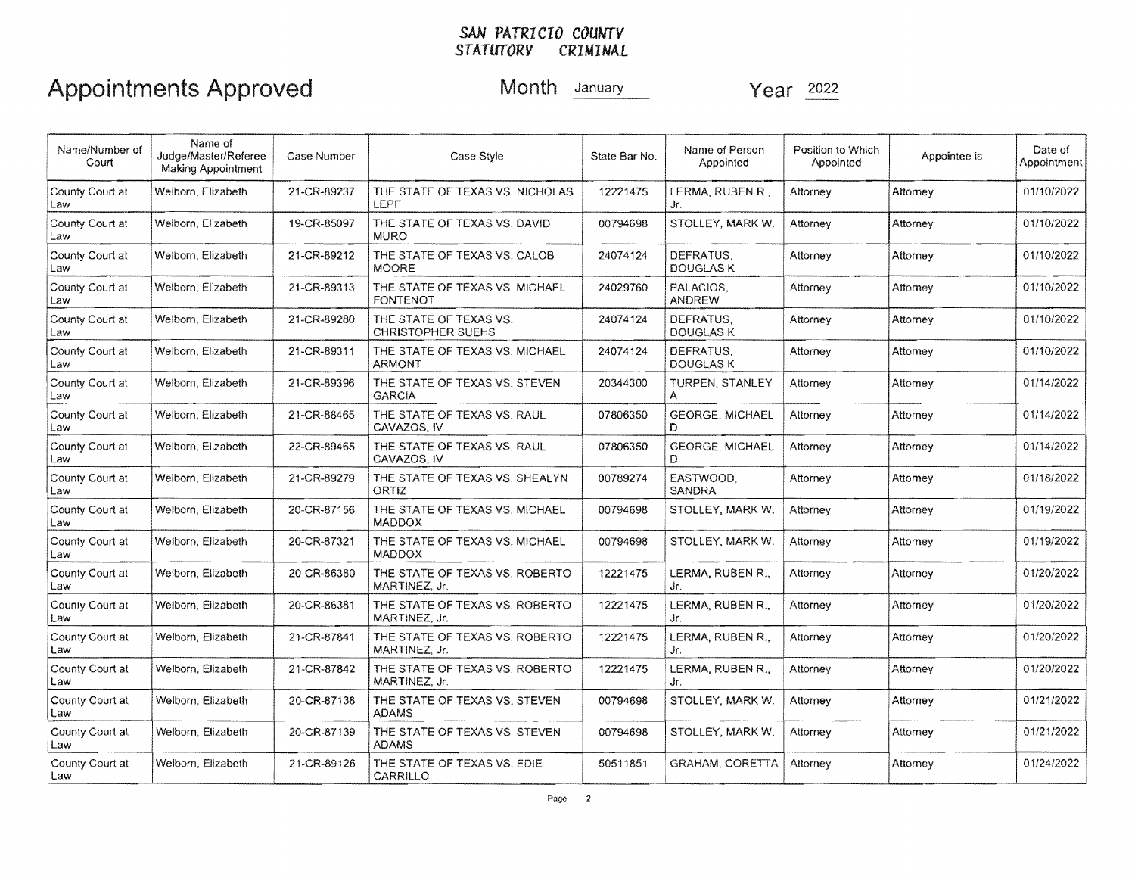| Name/Number of<br>Court | Name of<br>Judge/Master/Referee<br>Making Appointment | Case Number | Case Style                                                                                         | State Bar No.                                                     | Name of Person<br>Appointed   | Position to Which<br>Appointed | Appointee is | Date of<br>Appointment |
|-------------------------|-------------------------------------------------------|-------------|----------------------------------------------------------------------------------------------------|-------------------------------------------------------------------|-------------------------------|--------------------------------|--------------|------------------------|
| County Court at<br>Law  | Welborn, Elizabeth                                    | 21-CR-89237 | THE STATE OF TEXAS VS. NICHOLAS<br>LEPF                                                            | 12221475<br>LERMA. RUBEN R<br>Attorney<br>Attorney<br>Jr.         |                               |                                | 01/10/2022   |                        |
| County Court at<br>Law  | Welborn, Elizabeth                                    | 19-CR-85097 | THE STATE OF TEXAS VS, DAVID<br><b>MURO</b>                                                        | 00794698                                                          | STOLLEY, MARK W.              | Attorney                       | Attorney     | 01/10/2022             |
| County Court at<br>Law  | Welborn, Elizabeth                                    | 21-CR-89212 | THE STATE OF TEXAS VS. CALOB<br><b>MOORE</b>                                                       | DEFRATUS.<br>24074124<br>Attorney<br>Attorney<br><b>DOUGLAS K</b> |                               |                                | 01/10/2022   |                        |
| County Court at<br>Law  | Welborn, Elizabeth                                    | 21-CR-89313 | THE STATE OF TEXAS VS. MICHAEL<br><b>FONTENOT</b>                                                  | 24029760                                                          | PALACIOS.<br><b>ANDREW</b>    | Attorney                       | Attomey      | 01/10/2022             |
| County Court at<br>Law  | Welborn, Elizabeth                                    | 21-CR-89280 | THE STATE OF TEXAS VS.<br><b>CHRISTOPHER SUEHS</b>                                                 | 24074124                                                          | DEFRATUS.<br><b>DOUGLAS K</b> | Attorney                       | Attorney     | 01/10/2022             |
| County Court at<br>Law  | Welborn, Elizabeth                                    | 21-CR-89311 | THE STATE OF TEXAS VS. MICHAEL<br><b>ARMONT</b>                                                    | 24074124                                                          | DEFRATUS.<br><b>DOUGLAS K</b> | Attorney                       | Attorney     | 01/10/2022             |
| County Court at<br>Law  | Welborn, Elizabeth                                    | 21-CR-89396 | THE STATE OF TEXAS VS. STEVEN<br><b>GARCIA</b>                                                     | 20344300<br><b>TURPEN, STANLEY</b><br>Attorney<br>Attorney        |                               |                                | 01/14/2022   |                        |
| County Court at<br>Law  | Welborn, Elizabeth                                    | 21-CR-88465 | <b>GEORGE, MICHAEL</b><br>THE STATE OF TEXAS VS. RAUL<br>07806350<br>Attorney<br>CAVAZOS, IV<br>D. |                                                                   | Attorney                      | 01/14/2022                     |              |                        |
| County Court at<br>Law  | Welborn, Elizabeth                                    | 22-CR-89465 | THE STATE OF TEXAS VS. RAUL<br>CAVAZOS, IV                                                         | 07806350                                                          | <b>GEORGE, MICHAEL</b><br>D.  | Attorney                       | Attorney     | 01/14/2022             |
| County Court at<br>Law  | Welborn, Elizabeth                                    | 21-CR-89279 | THE STATE OF TEXAS VS. SHEALYN<br>ORTIZ                                                            | 00789274                                                          | EASTWOOD.<br><b>SANDRA</b>    | Attorney                       | Attomey      | 01/18/2022             |
| County Court at<br>Law  | Welborn, Elizabeth                                    | 20-CR-87156 | THE STATE OF TEXAS VS. MICHAEL<br><b>MADDOX</b>                                                    | 00794698                                                          | STOLLEY, MARK W.              | Attorney                       | Attorney     | 01/19/2022             |
| County Court at<br>Law  | Welborn, Elizabeth                                    | 20-CR-87321 | THE STATE OF TEXAS VS. MICHAEL<br><b>MADDOX</b>                                                    | 00794698                                                          | STOLLEY, MARK W.              | Attorney                       | Attorney     | 01/19/2022             |
| County Court at<br>Law  | Welborn, Elizabeth                                    | 20-CR-86380 | THE STATE OF TEXAS VS. ROBERTO<br>MARTINEZ, Jr.                                                    | 12221475                                                          | LERMA, RUBEN R.,<br>Jr.       | Attorney                       | Attorney     | 01/20/2022             |
| County Court at<br>Law  | Welborn, Elizabeth                                    | 20-CR-86381 | THE STATE OF TEXAS VS, ROBERTO<br>MARTINEZ, Jr.                                                    | 12221475                                                          | LERMA, RUBEN R.,<br>Jr.       | Attorney                       | Attorney     | 01/20/2022             |
| County Court at<br>Law  | Welborn, Elizabeth                                    | 21-CR-87841 | THE STATE OF TEXAS VS. ROBERTO<br>MARTINEZ, Jr.                                                    | 12221475                                                          | LERMA, RUBEN R.,<br>Jr.       | Attorney                       | Attorney     | 01/20/2022             |
| County Court at<br>Law  | Welborn, Elizabeth                                    | 21-CR-87842 | THE STATE OF TEXAS VS. ROBERTO<br>MARTINEZ, Jr.                                                    | 12221475                                                          | LERMA, RUBEN R.,<br>Jr.       | Attorney                       | Attorney     | 01/20/2022             |
| County Court at<br>Law  | Welborn, Elizabeth                                    | 20-CR-87138 | THE STATE OF TEXAS VS. STEVEN<br><b>ADAMS</b>                                                      | 00794698                                                          | STOLLEY, MARK W.              | Attorney                       | Attorney     | 01/21/2022             |
| County Court at<br>Law  | Welborn, Elizabeth                                    | 20-CR-87139 | THE STATE OF TEXAS VS. STEVEN<br><b>ADAMS</b>                                                      | 00794698                                                          | STOLLEY, MARK W.              | Attorney                       | Attorney     | 01/21/2022             |
| County Court at<br>Law  | Welborn, Elizabeth                                    | 21-CR-89126 | THE STATE OF TEXAS VS. EDIE<br>CARRILLO                                                            | 50511851                                                          | <b>GRAHAM, CORETTA</b>        | Attorney                       | Attorney     | 01/24/2022             |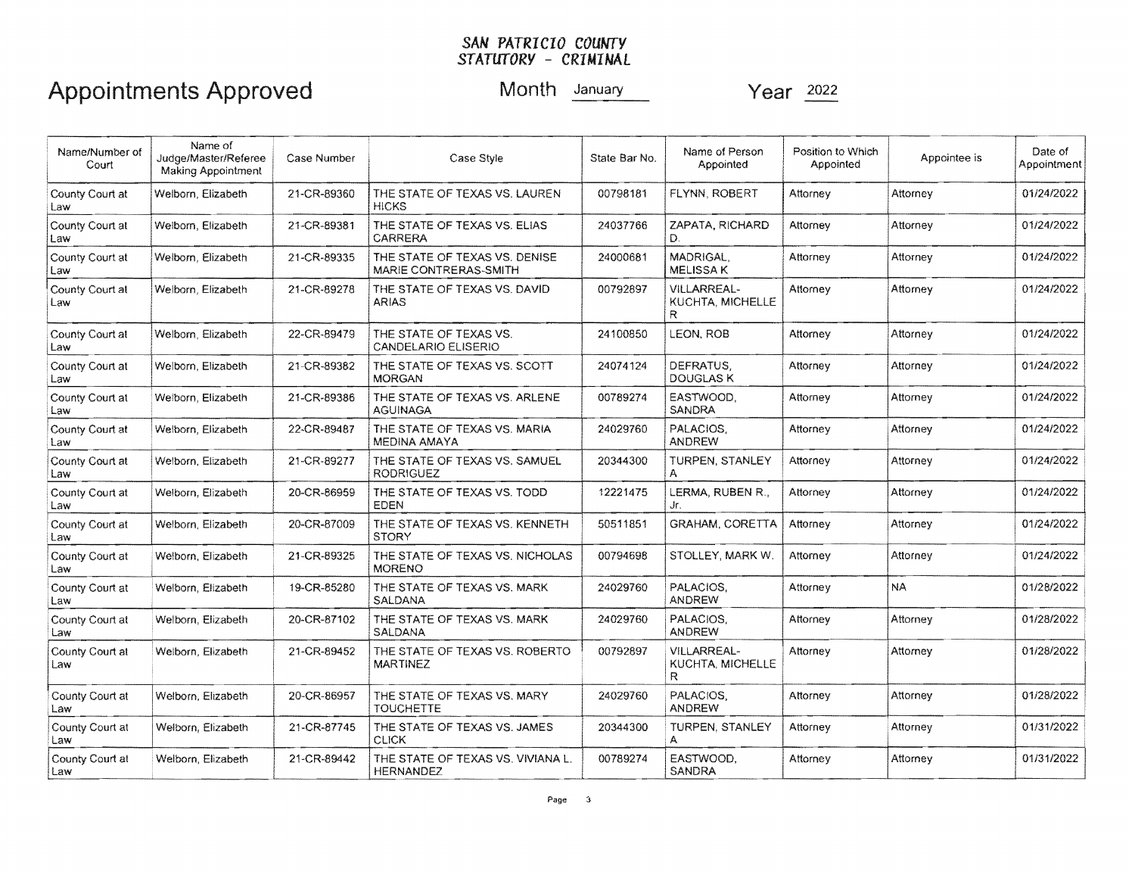| Name/Number of<br>Court | Name of<br>Judge/Master/Referee<br>Making Appointment | Case Number | Case Style                                             | State Bar No.                                                                    | Name of Person<br>Appointed                     | Position to Which<br>Appointed | Appointee is | Date of<br>Appointment |
|-------------------------|-------------------------------------------------------|-------------|--------------------------------------------------------|----------------------------------------------------------------------------------|-------------------------------------------------|--------------------------------|--------------|------------------------|
| County Court at<br>Law  | Welborn, Elizabeth                                    | 21-CR-89360 | THE STATE OF TEXAS VS. LAUREN<br><b>HICKS</b>          | 00798181<br>FLYNN, ROBERT<br>Attorney<br>Attorney                                |                                                 |                                | 01/24/2022   |                        |
| County Court at<br>Law  | Welborn, Elizabeth                                    | 21-CR-89381 | THE STATE OF TEXAS VS. ELIAS<br>CARRERA                | 24037766                                                                         | ZAPATA, RICHARD<br>Đ.                           | Attorney                       | Attorney     | 01/24/2022             |
| County Court at<br>Law  | Welborn, Elizabeth                                    | 21-CR-89335 | THE STATE OF TEXAS VS. DENISE<br>MARIE CONTRERAS-SMITH | 24000681                                                                         | MADRIGAL.<br><b>MELISSA K</b>                   | Attorney                       | Attorney     | 01/24/2022             |
| County Court at<br>Law  | Welborn, Elizabeth                                    | 21-CR-89278 | THE STATE OF TEXAS VS. DAVID<br><b>ARIAS</b>           | <b>VILLARREAL-</b><br>00792897<br>Attorney<br>Attorney<br>KUCHTA, MICHELLE<br>R. |                                                 |                                | 01/24/2022   |                        |
| County Court at<br>Law  | Welborn, Elizabeth                                    | 22-CR-89479 | THE STATE OF TEXAS VS.<br>CANDELARIO ELISERIO          | 24100850                                                                         | <b>LEON, ROB</b>                                | Attorney                       | Attorney     | 01/24/2022             |
| County Court at<br>Law  | Welborn, Elizabeth                                    | 21-CR-89382 | THE STATE OF TEXAS VS. SCOTT<br><b>MORGAN</b>          | 24074124                                                                         | DEFRATUS.<br><b>DOUGLAS K</b>                   | Attorney                       | Attorney     | 01/24/2022             |
| County Court at<br>Law  | Welborn, Elizabeth                                    | 21-CR-89386 | THE STATE OF TEXAS VS. ARLENE<br>AGUINAGA              | EASTWOOD.<br>00789274<br>Attorney<br>SANDRA                                      |                                                 | Attorney                       | 01/24/2022   |                        |
| County Court at<br>Law  | Welborn, Elizabeth                                    | 22-CR-89487 | THE STATE OF TEXAS VS. MARIA<br>MEDINA AMAYA           | PALACIOS.<br>24029760<br><b>ANDREW</b>                                           |                                                 | Attorney                       | Attorney     | 01/24/2022             |
| County Court at<br>Law  | Welborn, Elizabeth                                    | 21-CR-89277 | THE STATE OF TEXAS VS. SAMUEL<br><b>RODRIGUEZ</b>      | 20344300                                                                         | TURPEN, STANLEY                                 | Attorney                       | Attorney     | 01/24/2022             |
| County Court at<br>Law  | Welborn, Elizabeth                                    | 20-CR-86959 | THE STATE OF TEXAS VS. TODD<br>EDEN                    | 12221475                                                                         | LERMA, RUBEN R.,<br>Attorney<br>Attorney<br>Jr. |                                |              | 01/24/2022             |
| County Court at<br>Law  | Welborn, Elizabeth                                    | 20-CR-87009 | THE STATE OF TEXAS VS. KENNETH<br><b>STORY</b>         | 50511851                                                                         | <b>GRAHAM, CORETTA</b>                          | Attorney                       | Attorney     | 01/24/2022             |
| County Court at<br>Law  | Welborn, Elizabeth                                    | 21-CR-89325 | THE STATE OF TEXAS VS. NICHOLAS<br><b>MORENO</b>       | 00794698                                                                         | STOLLEY, MARK W.                                | Attorney                       | Attorney     | 01/24/2022             |
| County Court at<br>Law  | Welborn, Elizabeth                                    | 19-CR-85280 | THE STATE OF TEXAS VS. MARK<br><b>SALDANA</b>          | 24029760                                                                         | PALACIOS.<br><b>ANDREW</b>                      | Attorney                       | <b>NA</b>    | 01/28/2022             |
| County Court at<br>Law  | Welborn, Elizabeth                                    | 20-CR-87102 | THE STATE OF TEXAS VS. MARK<br>SALDANA                 | 24029760                                                                         | PALACIOS.<br><b>ANDREW</b>                      | Attorney                       | Attorney     | 01/28/2022             |
| County Court at<br>Law  | Welborn, Elizabeth                                    | 21-CR-89452 | THE STATE OF TEXAS VS. ROBERTO<br><b>MARTINEZ</b>      | 00792897                                                                         | <b>VILLARREAL-</b><br>KUCHTA, MICHELLE<br>R     | Attorney                       | Attorney     | 01/28/2022             |
| County Court at<br>Law  | Welborn, Elizabeth                                    | 20-CR-86957 | THE STATE OF TEXAS VS. MARY<br><b>TOUCHETTE</b>        | 24029760                                                                         | PALACIOS.<br><b>ANDREW</b>                      | Attorney                       | Attorney     | 01/28/2022             |
| County Court at<br>Law  | Welborn, Elizabeth                                    | 21-CR-87745 | THE STATE OF TEXAS VS. JAMES<br><b>CLICK</b>           | 20344300                                                                         | <b>TURPEN, STANLEY</b><br>A                     | Attorney                       | Attorney     | 01/31/2022             |
| County Court at<br>Law  | Welborn, Elizabeth                                    | 21-CR-89442 | THE STATE OF TEXAS VS. VIVIANA L.<br><b>HERNANDEZ</b>  | 00789274                                                                         | EASTWOOD.<br>SANDRA                             | Attorney                       | Attorney     | 01/31/2022             |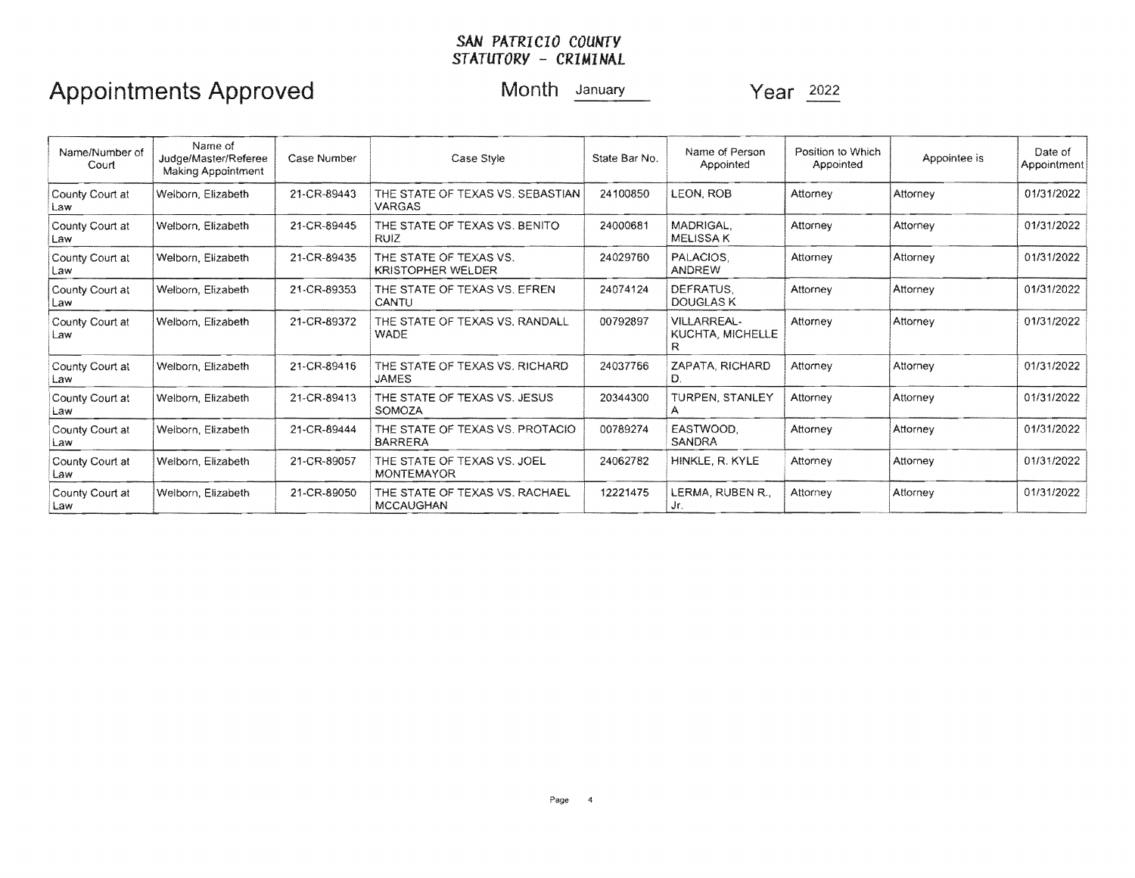| Name/Number of<br>Court | Name of<br>Judge/Master/Referee<br>Making Appointment | Case Number | Case Style                                                                                                       | State Bar No. | Name of Person<br>Appointed                 | Position to Which<br>Appointed | Appointee is | Date of<br>Appointment |
|-------------------------|-------------------------------------------------------|-------------|------------------------------------------------------------------------------------------------------------------|---------------|---------------------------------------------|--------------------------------|--------------|------------------------|
| County Court at<br>Law  | Welborn, Elizabeth                                    | 21-CR-89443 | 24100850<br>LEON, ROB<br>THE STATE OF TEXAS VS. SEBASTIAN<br>Attorney<br>Attorney<br><b>VARGAS</b>               |               |                                             | 01/31/2022                     |              |                        |
| County Court at<br>Law  | Welborn, Elizabeth                                    | 21-CR-89445 | MADRIGAL.<br>THE STATE OF TEXAS VS. BENITO<br>24000681<br>Attorney<br>Attorney<br><b>MELISSAK</b><br><b>RUIZ</b> |               |                                             | 01/31/2022                     |              |                        |
| County Court at<br>Law  | Welborn, Elizabeth                                    | 21-CR-89435 | THE STATE OF TEXAS VS.<br><b>KRISTOPHER WELDER</b>                                                               | 24029760      | PALACIOS.<br><b>ANDREW</b>                  | Attorney                       | Attorney     | 01/31/2022             |
| County Court at<br>Law  | Welborn, Elizabeth                                    | 21-CR-89353 | THE STATE OF TEXAS VS. EFREN<br>CANTU                                                                            | 24074124      | DEFRATUS.<br>DOUGLAS K                      | Attorney                       | Attorney     | 01/31/2022             |
| County Court at<br>Law  | Welborn, Elizabeth                                    | 21-CR-89372 | THE STATE OF TEXAS VS. RANDALL<br><b>WADE</b>                                                                    | 00792897      | <b>VILLARREAL-</b><br>KUCHTA, MICHELLE<br>R | Attorney                       | Attorney     | 01/31/2022             |
| County Court at<br>Law  | Welborn, Elizabeth                                    | 21-CR-89416 | THE STATE OF TEXAS VS. RICHARD<br><b>JAMES</b>                                                                   | 24037766      | ZAPATA, RICHARD<br>D.                       | Attorney                       | Attorney     | 01/31/2022             |
| County Court at<br>Law  | Welborn, Elizabeth                                    | 21-CR-89413 | THE STATE OF TEXAS VS. JESUS<br>SOMOZA                                                                           | 20344300      | TURPEN, STANLEY                             | Attorney                       | Attorney     | 01/31/2022             |
| County Court at<br>Law  | Welborn, Elizabeth                                    | 21-CR-89444 | THE STATE OF TEXAS VS. PROTACIO<br><b>BARRERA</b>                                                                | 00789274      | EASTWOOD.<br><b>SANDRA</b>                  | Attorney                       | Attorney     | 01/31/2022             |
| County Court at<br>Law  | Welborn, Elizabeth                                    | 21-CR-89057 | THE STATE OF TEXAS VS. JOEL<br><b>MONTEMAYOR</b>                                                                 | 24062782      | HINKLE, R. KYLE                             | Attorney                       | Attorney     | 01/31/2022             |
| County Court at<br>Law  | Welborn, Elizabeth                                    | 21-CR-89050 | THE STATE OF TEXAS VS. RACHAEL<br><b>MCCAUGHAN</b>                                                               | 12221475      | LERMA, RUBEN R.,<br>Jr.                     | Attorney                       | Attorney     | 01/31/2022             |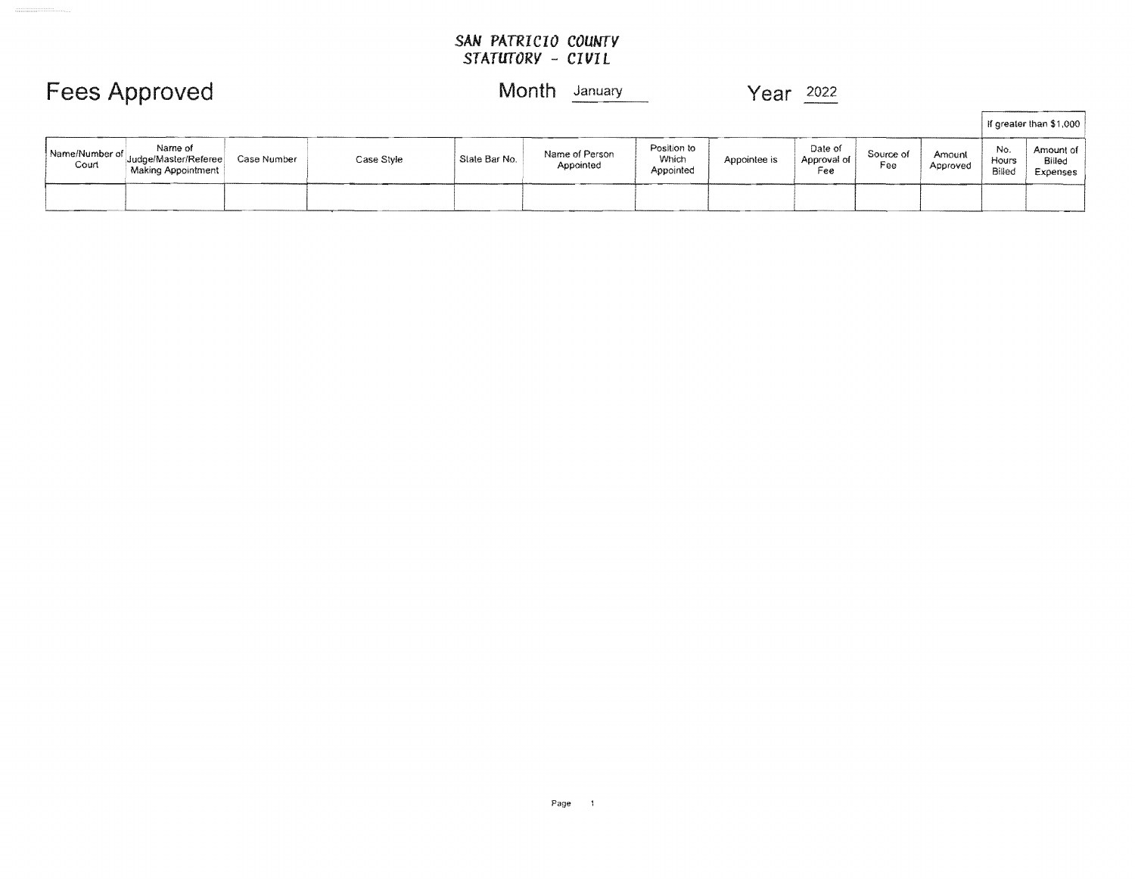## **Fees Approved** Month **January** Year 2022

 $\begin{minipage}{0.5\textwidth} \begin{tabular}{|c|c|c|} \hline & \multicolumn{1}{|c|}{\multicolumn{1}{|c|}{\multicolumn{1}{|c|}{\multicolumn{1}{|c|}{\multicolumn{1}{|c|}{\multicolumn{1}{|c|}{\multicolumn{1}{|c|}{\multicolumn{1}{|c|}{\multicolumn{1}{|c|}{\multicolumn{1}{|c|}{\multicolumn{1}{|c|}{\multicolumn{1}{|c|}{\multicolumn{1}{|c|}{\multicolumn{1}{|c|}{\multicolumn{1}{|c|}{\multicolumn{1}{|c|}{\multicolumn{1}{|c|}{\$ 

|                                                                                  |             |            |               |                             |                                   |              |                                 |                  | If greater than \$1,000 |                        |                                 |
|----------------------------------------------------------------------------------|-------------|------------|---------------|-----------------------------|-----------------------------------|--------------|---------------------------------|------------------|-------------------------|------------------------|---------------------------------|
| Name of<br>Name/Number of<br>Judge/Master/Referee<br>Court<br>Making Appointment | Case Number | Case Style | State Bar No. | Name of Person<br>Appointed | Position to<br>Which<br>Appointed | Appointee is | Date of<br>Approval of  <br>Fee | Source of<br>Fee | Amount<br>Approved      | No.<br>Hours<br>Billed | Amount of<br>Billed<br>Expenses |
|                                                                                  |             |            |               |                             |                                   |              |                                 |                  |                         |                        |                                 |